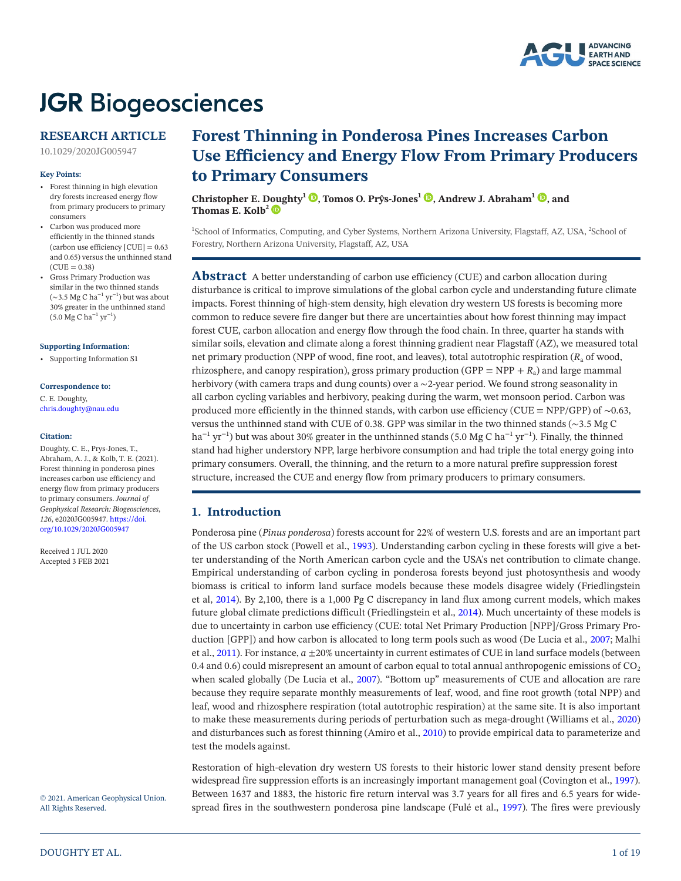

# **JGR Biogeosciences**

# **RESEARCH ARTICLE**

10.1029/2020JG005947

#### **Key Points:**

- Forest thinning in high elevation dry forests increased energy flow from primary producers to primary consumers
- Carbon was produced more efficiently in the thinned stands (carbon use efficiency  $[CUE] = 0.63$ and 0.65) versus the unthinned stand  $(CUE = 0.38)$
- Gross Primary Production was similar in the two thinned stands (∼3.5 Mg C ha<sup>-1</sup> yr<sup>-1</sup>) but was about 30% greater in the unthinned stand (5.0 Mg C ha<sup>-1</sup> yr<sup>-1</sup>)

#### **Supporting Information:**

• Supporting Information S1

# **Correspondence to:**

C. E. Doughty, chris.doughty@nau.edu

#### **Citation:**

Doughty, C. E., Prys-Jones, T., Abraham, A. J., & Kolb, T. E. (2021). Forest thinning in ponderosa pines increases carbon use efficiency and energy flow from primary producers to primary consumers. *Journal of Geophysical Research: Biogeosciences*, *126*, e2020JG005947. [https://doi.](https://doi.org/10.1029/2020JG005947) [org/10.1029/2020JG005947](https://doi.org/10.1029/2020JG005947)

Received 1 JUL 2020 Accepted 3 FEB 2021

# © 2021. American Geophysical Union.

All Rights Reserved.

# **Forest Thinning in Ponderosa Pines Increases Carbon Use Efficiency and Energy Flow From Primary Producers to Primary Consumers**

**Christopher E. [Doug](https://orcid.org/0000-0002-3829-4265)hty1 [,](https://orcid.org/0000-0003-3985-7960) Tomos O. Prŷs-Jones<sup>1</sup> [,](https://orcid.org/0000-0001-6472-302X) Andrew J. Abraham1 [,](https://orcid.org/0000-0001-8625-8851) and** Thomas E. Kolb<sup>2</sup>

<sup>1</sup>School of Informatics, Computing, and Cyber Systems, Northern Arizona University, Flagstaff, AZ, USA, <sup>2</sup>School of Forestry, Northern Arizona University, Flagstaff, AZ, USA

**Abstract** A better understanding of carbon use efficiency (CUE) and carbon allocation during disturbance is critical to improve simulations of the global carbon cycle and understanding future climate impacts. Forest thinning of high-stem density, high elevation dry western US forests is becoming more common to reduce severe fire danger but there are uncertainties about how forest thinning may impact forest CUE, carbon allocation and energy flow through the food chain. In three, quarter ha stands with similar soils, elevation and climate along a forest thinning gradient near Flagstaff (AZ), we measured total net primary production (NPP of wood, fine root, and leaves), total autotrophic respiration ( $R<sub>a</sub>$  of wood, rhizosphere, and canopy respiration), gross primary production (GPP =  $NPP + R<sub>a</sub>$ ) and large mammal herbivory (with camera traps and dung counts) over a ∼2-year period. We found strong seasonality in all carbon cycling variables and herbivory, peaking during the warm, wet monsoon period. Carbon was produced more efficiently in the thinned stands, with carbon use efficiency (CUE = NPP/GPP) of ∼0.63, versus the unthinned stand with CUE of 0.38. GPP was similar in the two thinned stands (∼3.5 Mg C ha<sup>-1</sup> yr<sup>-1</sup>) but was about 30% greater in the unthinned stands (5.0 Mg C ha<sup>-1</sup> yr<sup>-1</sup>). Finally, the thinned stand had higher understory NPP, large herbivore consumption and had triple the total energy going into primary consumers. Overall, the thinning, and the return to a more natural prefire suppression forest structure, increased the CUE and energy flow from primary producers to primary consumers.

# **1. Introduction**

Ponderosa pine (*Pinus ponderosa*) forests account for 22% of western U.S. forests and are an important part of the US carbon stock (Powell et al., [1993\)](#page-17-0). Understanding carbon cycling in these forests will give a better understanding of the North American carbon cycle and the USA's net contribution to climate change. Empirical understanding of carbon cycling in ponderosa forests beyond just photosynthesis and woody biomass is critical to inform land surface models because these models disagree widely (Friedlingstein et al, [2014](#page-17-1)). By 2,100, there is a 1,000 Pg C discrepancy in land flux among current models, which makes future global climate predictions difficult (Friedlingstein et al., [2014\)](#page-17-1). Much uncertainty of these models is due to uncertainty in carbon use efficiency (CUE: total Net Primary Production [NPP]/Gross Primary Production [GPP]) and how carbon is allocated to long term pools such as wood (De Lucia et al., [2007;](#page-17-2) Malhi et al., [2011\)](#page-17-3). For instance, *a* ±20% uncertainty in current estimates of CUE in land surface models (between 0.4 and 0.6) could misrepresent an amount of carbon equal to total annual anthropogenic emissions of  $CO<sub>2</sub>$ when scaled globally (De Lucia et al., [2007\)](#page-17-2). "Bottom up" measurements of CUE and allocation are rare because they require separate monthly measurements of leaf, wood, and fine root growth (total NPP) and leaf, wood and rhizosphere respiration (total autotrophic respiration) at the same site. It is also important to make these measurements during periods of perturbation such as mega-drought (Williams et al., [2020\)](#page-18-0) and disturbances such as forest thinning (Amiro et al., [2010](#page-16-0)) to provide empirical data to parameterize and test the models against.

Restoration of high-elevation dry western US forests to their historic lower stand density present before widespread fire suppression efforts is an increasingly important management goal (Covington et al., [1997\)](#page-17-4). Between 1637 and 1883, the historic fire return interval was 3.7 years for all fires and 6.5 years for widespread fires in the southwestern ponderosa pine landscape (Fulé et al., [1997\)](#page-17-5). The fires were previously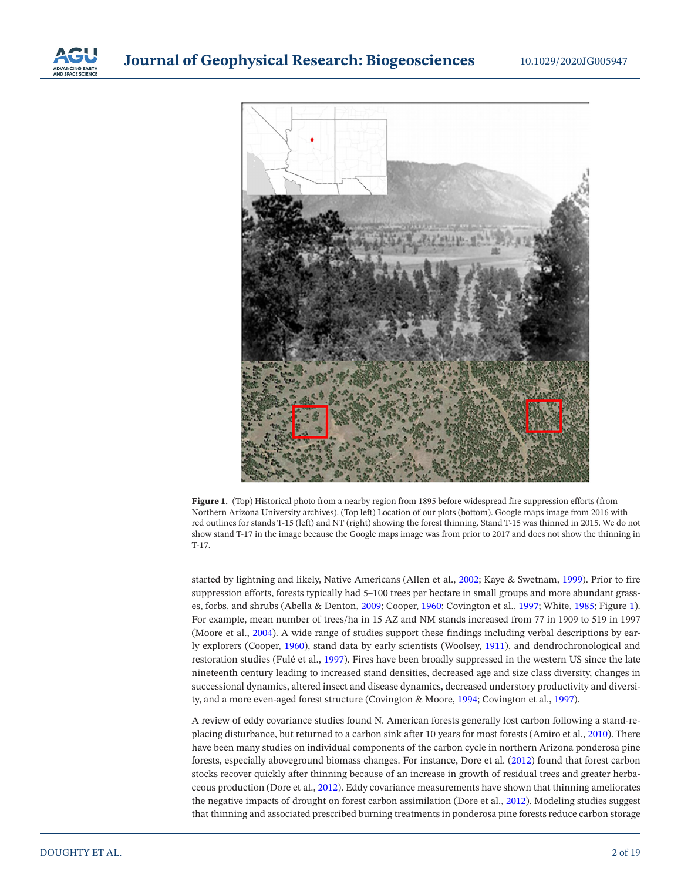



**Figure 1.** (Top) Historical photo from a nearby region from 1895 before widespread fire suppression efforts (from Northern Arizona University archives). (Top left) Location of our plots (bottom). Google maps image from 2016 with red outlines for stands T-15 (left) and NT (right) showing the forest thinning. Stand T-15 was thinned in 2015. We do not show stand T-17 in the image because the Google maps image was from prior to 2017 and does not show the thinning in T-17.

<span id="page-1-0"></span>started by lightning and likely, Native Americans (Allen et al., [2002](#page-16-1); Kaye & Swetnam, [1999\)](#page-17-6). Prior to fire suppression efforts, forests typically had 5–100 trees per hectare in small groups and more abundant grasses, forbs, and shrubs (Abella & Denton, [2009;](#page-16-2) Cooper, [1960;](#page-17-7) Covington et al., [1997](#page-17-4); White, [1985](#page-18-1); Figure [1\)](#page-1-0). For example, mean number of trees/ha in 15 AZ and NM stands increased from 77 in 1909 to 519 in 1997 (Moore et al., [2004](#page-17-8)). A wide range of studies support these findings including verbal descriptions by early explorers (Cooper, [1960\)](#page-17-7), stand data by early scientists (Woolsey, [1911](#page-18-2)), and dendrochronological and restoration studies (Fulé et al., [1997](#page-17-5)). Fires have been broadly suppressed in the western US since the late nineteenth century leading to increased stand densities, decreased age and size class diversity, changes in successional dynamics, altered insect and disease dynamics, decreased understory productivity and diversity, and a more even-aged forest structure (Covington & Moore, [1994](#page-17-9); Covington et al., [1997](#page-17-4)).

A review of eddy covariance studies found N. American forests generally lost carbon following a stand-replacing disturbance, but returned to a carbon sink after 10 years for most forests (Amiro et al., [2010\)](#page-16-0). There have been many studies on individual components of the carbon cycle in northern Arizona ponderosa pine forests, especially aboveground biomass changes. For instance, Dore et al. [\(2012\)](#page-17-10) found that forest carbon stocks recover quickly after thinning because of an increase in growth of residual trees and greater herbaceous production (Dore et al., [2012\)](#page-17-10). Eddy covariance measurements have shown that thinning ameliorates the negative impacts of drought on forest carbon assimilation (Dore et al., [2012](#page-17-10)). Modeling studies suggest that thinning and associated prescribed burning treatments in ponderosa pine forests reduce carbon storage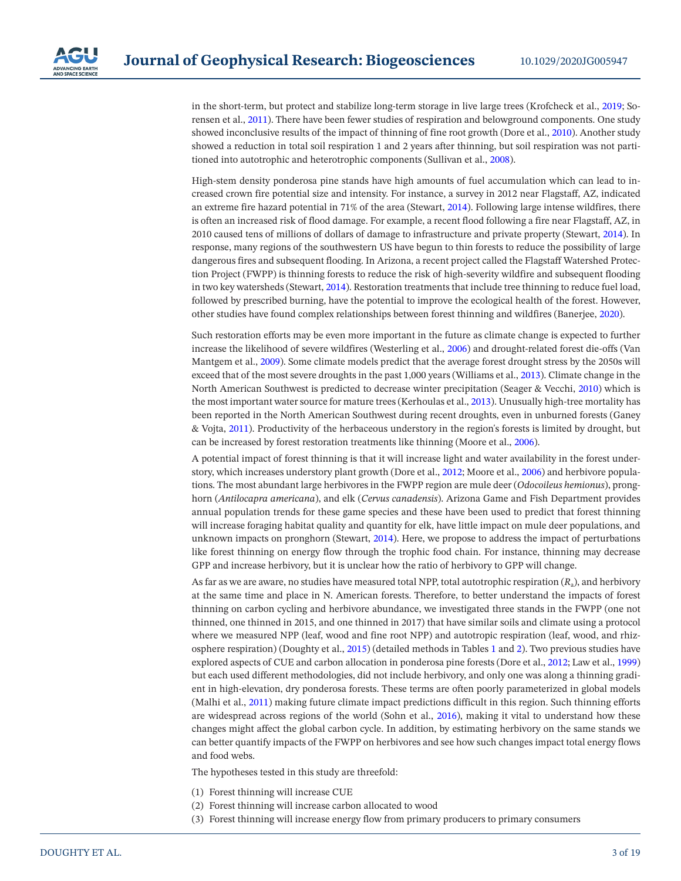in the short-term, but protect and stabilize long-term storage in live large trees (Krofcheck et al., [2019](#page-17-11); Sorensen et al., [2011\)](#page-18-3). There have been fewer studies of respiration and belowground components. One study showed inconclusive results of the impact of thinning of fine root growth (Dore et al., [2010](#page-17-12)). Another study showed a reduction in total soil respiration 1 and 2 years after thinning, but soil respiration was not partitioned into autotrophic and heterotrophic components (Sullivan et al., [2008\)](#page-18-4).

High-stem density ponderosa pine stands have high amounts of fuel accumulation which can lead to increased crown fire potential size and intensity. For instance, a survey in 2012 near Flagstaff, AZ, indicated an extreme fire hazard potential in 71% of the area (Stewart, [2014](#page-18-5)). Following large intense wildfires, there is often an increased risk of flood damage. For example, a recent flood following a fire near Flagstaff, AZ, in 2010 caused tens of millions of dollars of damage to infrastructure and private property (Stewart, [2014](#page-18-5)). In response, many regions of the southwestern US have begun to thin forests to reduce the possibility of large dangerous fires and subsequent flooding. In Arizona, a recent project called the Flagstaff Watershed Protection Project (FWPP) is thinning forests to reduce the risk of high-severity wildfire and subsequent flooding in two key watersheds (Stewart, [2014\)](#page-18-5). Restoration treatments that include tree thinning to reduce fuel load, followed by prescribed burning, have the potential to improve the ecological health of the forest. However, other studies have found complex relationships between forest thinning and wildfires (Banerjee, [2020\)](#page-16-3).

Such restoration efforts may be even more important in the future as climate change is expected to further increase the likelihood of severe wildfires (Westerling et al., [2006](#page-18-6)) and drought-related forest die-offs (Van Mantgem et al., [2009\)](#page-18-7). Some climate models predict that the average forest drought stress by the 2050s will exceed that of the most severe droughts in the past 1,000 years (Williams et al., [2013](#page-18-8)). Climate change in the North American Southwest is predicted to decrease winter precipitation (Seager & Vecchi, [2010](#page-18-9)) which is the most important water source for mature trees (Kerhoulas et al., [2013\)](#page-17-13). Unusually high-tree mortality has been reported in the North American Southwest during recent droughts, even in unburned forests (Ganey & Vojta, [2011\)](#page-17-14). Productivity of the herbaceous understory in the region's forests is limited by drought, but can be increased by forest restoration treatments like thinning (Moore et al., [2006](#page-17-15)).

A potential impact of forest thinning is that it will increase light and water availability in the forest understory, which increases understory plant growth (Dore et al., [2012;](#page-17-10) Moore et al., [2006](#page-17-15)) and herbivore populations. The most abundant large herbivores in the FWPP region are mule deer (*Odocoileus hemionus*), pronghorn (*Antilocapra americana*), and elk (*Cervus canadensis*). Arizona Game and Fish Department provides annual population trends for these game species and these have been used to predict that forest thinning will increase foraging habitat quality and quantity for elk, have little impact on mule deer populations, and unknown impacts on pronghorn (Stewart, [2014\)](#page-18-5). Here, we propose to address the impact of perturbations like forest thinning on energy flow through the trophic food chain. For instance, thinning may decrease GPP and increase herbivory, but it is unclear how the ratio of herbivory to GPP will change.

As far as we are aware, no studies have measured total NPP, total autotrophic respiration (*R*a), and herbivory at the same time and place in N. American forests. Therefore, to better understand the impacts of forest thinning on carbon cycling and herbivore abundance, we investigated three stands in the FWPP (one not thinned, one thinned in 2015, and one thinned in 2017) that have similar soils and climate using a protocol where we measured NPP (leaf, wood and fine root NPP) and autotropic respiration (leaf, wood, and rhizosphere respiration) (Doughty et al., [2015\)](#page-17-16) (detailed methods in Tables [1](#page-3-0) and [2](#page-5-0)). Two previous studies have explored aspects of CUE and carbon allocation in ponderosa pine forests (Dore et al., [2012;](#page-17-10) Law et al., [1999\)](#page-17-17) but each used different methodologies, did not include herbivory, and only one was along a thinning gradient in high-elevation, dry ponderosa forests. These terms are often poorly parameterized in global models (Malhi et al., [2011\)](#page-17-3) making future climate impact predictions difficult in this region. Such thinning efforts are widespread across regions of the world (Sohn et al., [2016\)](#page-18-10), making it vital to understand how these changes might affect the global carbon cycle. In addition, by estimating herbivory on the same stands we can better quantify impacts of the FWPP on herbivores and see how such changes impact total energy flows and food webs.

The hypotheses tested in this study are threefold:

- (1) Forest thinning will increase CUE
- (2) Forest thinning will increase carbon allocated to wood
- (3) Forest thinning will increase energy flow from primary producers to primary consumers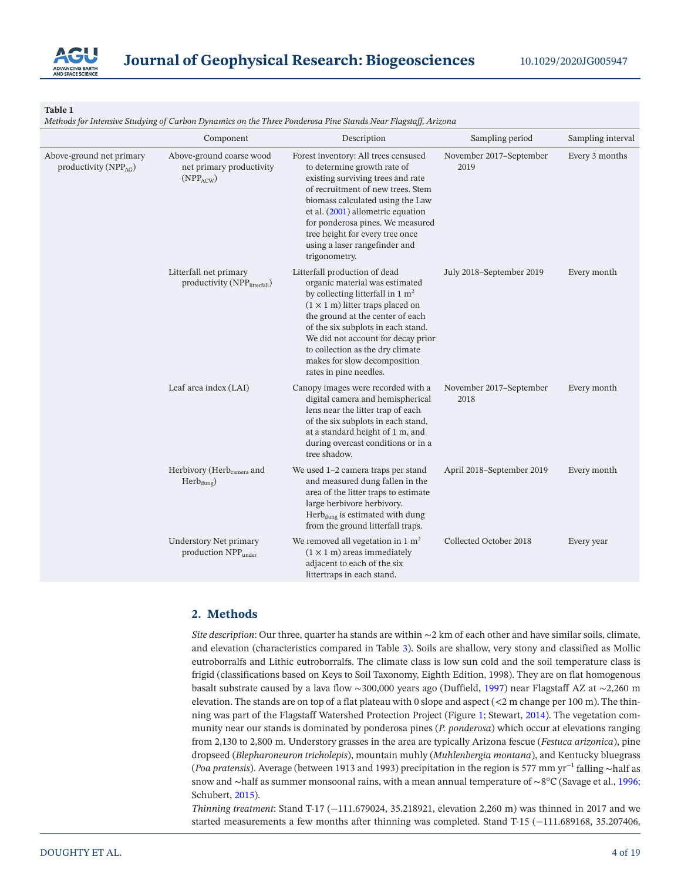

<span id="page-3-0"></span>*Methods for Intensive Studying of Carbon Dynamics on the Three Ponderosa Pine Stands Near Flagstaff, Arizona*

|                                                      | Component                                                             | Description                                                                                                                                                                                                                                                                                                                                                    | Sampling period                 | Sampling interval |
|------------------------------------------------------|-----------------------------------------------------------------------|----------------------------------------------------------------------------------------------------------------------------------------------------------------------------------------------------------------------------------------------------------------------------------------------------------------------------------------------------------------|---------------------------------|-------------------|
| Above-ground net primary<br>productivity ( $NPPAG$ ) | Above-ground coarse wood<br>net primary productivity<br>$(NPP_{ACW})$ | Forest inventory: All trees censused<br>to determine growth rate of<br>existing surviving trees and rate<br>of recruitment of new trees. Stem<br>biomass calculated using the Law<br>et al. (2001) allometric equation<br>for ponderosa pines. We measured<br>tree height for every tree once<br>using a laser rangefinder and<br>trigonometry.                | November 2017-September<br>2019 | Every 3 months    |
|                                                      | Litterfall net primary<br>productivity (NPPlitterfall)                | Litterfall production of dead<br>organic material was estimated<br>by collecting litterfall in 1 $m2$<br>$(1 \times 1$ m) litter traps placed on<br>the ground at the center of each<br>of the six subplots in each stand.<br>We did not account for decay prior<br>to collection as the dry climate<br>makes for slow decomposition<br>rates in pine needles. | July 2018-September 2019        | Every month       |
|                                                      | Leaf area index (LAI)                                                 | Canopy images were recorded with a<br>digital camera and hemispherical<br>lens near the litter trap of each<br>of the six subplots in each stand,<br>at a standard height of 1 m, and<br>during overcast conditions or in a<br>tree shadow.                                                                                                                    | November 2017-September<br>2018 | Every month       |
|                                                      | Herbivory (Herb <sub>camera</sub> and<br>$Herb_{dune}$                | We used 1-2 camera traps per stand<br>and measured dung fallen in the<br>area of the litter traps to estimate<br>large herbivore herbivory.<br>Herb <sub>dung</sub> is estimated with dung<br>from the ground litterfall traps.                                                                                                                                | April 2018-September 2019       | Every month       |
|                                                      | <b>Understory Net primary</b><br>production NPP <sub>under</sub>      | We removed all vegetation in 1 $m2$<br>$(1 \times 1 \text{ m})$ areas immediately<br>adjacent to each of the six<br>littertraps in each stand.                                                                                                                                                                                                                 | Collected October 2018          | Every year        |

# **2. Methods**

*Site description*: Our three, quarter ha stands are within ∼2 km of each other and have similar soils, climate, and elevation (characteristics compared in Table [3\)](#page-7-0). Soils are shallow, very stony and classified as Mollic eutroborralfs and Lithic eutroborralfs. The climate class is low sun cold and the soil temperature class is frigid (classifications based on Keys to Soil Taxonomy, Eighth Edition, 1998). They are on flat homogenous basalt substrate caused by a lava flow ∼300,000 years ago (Duffield, [1997](#page-17-18)) near Flagstaff AZ at ∼2,260 m elevation. The stands are on top of a flat plateau with 0 slope and aspect  $(< 2 \text{ m}$  change per 100 m). The thinning was part of the Flagstaff Watershed Protection Project (Figure [1;](#page-1-0) Stewart, [2014\)](#page-18-5). The vegetation community near our stands is dominated by ponderosa pines (*P. ponderosa*) which occur at elevations ranging from 2,130 to 2,800 m. Understory grasses in the area are typically Arizona fescue (*Festuca arizonica*), pine dropseed (*Blepharoneuron tricholepis*), mountain muhly (*Muhlenbergia montana*), and Kentucky bluegrass (*Poa pratensis*). Average (between 1913 and 1993) precipitation in the region is 577 mm yr−1 falling ∼half as snow and ∼half as summer monsoonal rains, with a mean annual temperature of ∼8°C (Savage et al., [1996;](#page-18-11) Schubert, [2015\)](#page-18-12).

*Thinning treatment*: Stand T-17 (−111.679024, 35.218921, elevation 2,260 m) was thinned in 2017 and we started measurements a few months after thinning was completed. Stand T-15 (−111.689168, 35.207406,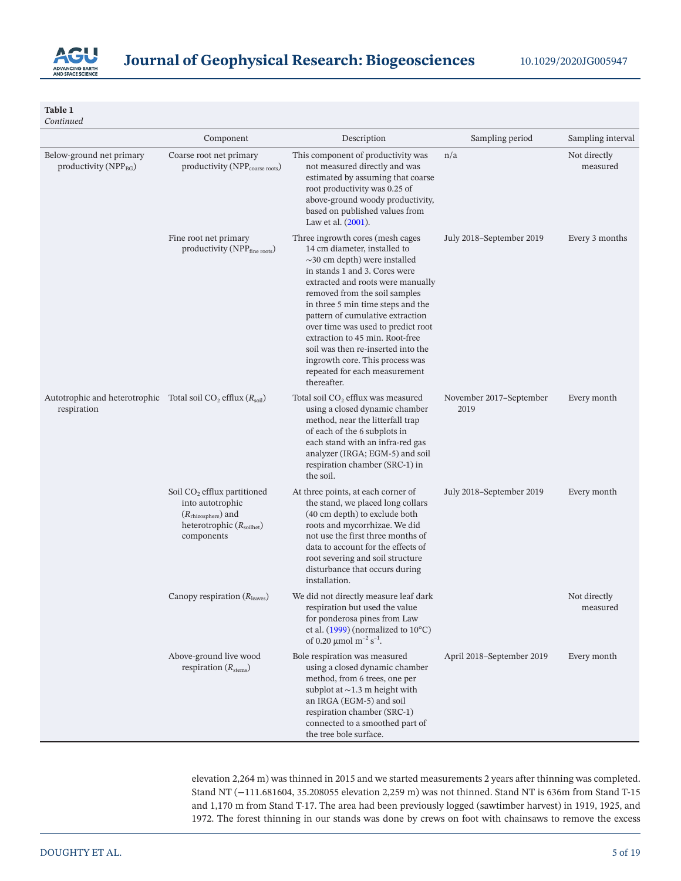

| Continued                                                                                 |                                                                                                                                         |                                                                                                                                                                                                                                                                                                                                                                                                                                                                                          |                                 |                          |
|-------------------------------------------------------------------------------------------|-----------------------------------------------------------------------------------------------------------------------------------------|------------------------------------------------------------------------------------------------------------------------------------------------------------------------------------------------------------------------------------------------------------------------------------------------------------------------------------------------------------------------------------------------------------------------------------------------------------------------------------------|---------------------------------|--------------------------|
|                                                                                           | Component                                                                                                                               | Description                                                                                                                                                                                                                                                                                                                                                                                                                                                                              | Sampling period                 | Sampling interval        |
| Below-ground net primary<br>productivity ( $NPP_{BG}$ )                                   | Coarse root net primary<br>productivity (NPP <sub>coarse roots</sub> )                                                                  | This component of productivity was<br>not measured directly and was<br>estimated by assuming that coarse<br>root productivity was 0.25 of<br>above-ground woody productivity,<br>based on published values from<br>Law et al. (2001).                                                                                                                                                                                                                                                    | n/a                             | Not directly<br>measured |
|                                                                                           | Fine root net primary<br>productivity (NPP <sub>fine roots</sub> )                                                                      | Three ingrowth cores (mesh cages<br>14 cm diameter, installed to<br>$\sim$ 30 cm depth) were installed<br>in stands 1 and 3. Cores were<br>extracted and roots were manually<br>removed from the soil samples<br>in three 5 min time steps and the<br>pattern of cumulative extraction<br>over time was used to predict root<br>extraction to 45 min. Root-free<br>soil was then re-inserted into the<br>ingrowth core. This process was<br>repeated for each measurement<br>thereafter. | July 2018–September 2019        | Every 3 months           |
| Autotrophic and heterotrophic Total soil $CO_2$ efflux $(R_{\text{soil}})$<br>respiration |                                                                                                                                         | Total soil CO <sub>2</sub> efflux was measured<br>using a closed dynamic chamber<br>method, near the litterfall trap<br>of each of the 6 subplots in<br>each stand with an infra-red gas<br>analyzer (IRGA; EGM-5) and soil<br>respiration chamber (SRC-1) in<br>the soil.                                                                                                                                                                                                               | November 2017–September<br>2019 | Every month              |
|                                                                                           | Soil $CO2$ efflux partitioned<br>into autotrophic<br>$(R_{\text{rhizosphere}})$ and<br>heterotrophic $(R_{\text{solid}})$<br>components | At three points, at each corner of<br>the stand, we placed long collars<br>(40 cm depth) to exclude both<br>roots and mycorrhizae. We did<br>not use the first three months of<br>data to account for the effects of<br>root severing and soil structure<br>disturbance that occurs during<br>installation.                                                                                                                                                                              | July 2018–September 2019        | Every month              |
|                                                                                           | Canopy respiration $(Rleaves)$                                                                                                          | We did not directly measure leaf dark<br>respiration but used the value<br>for ponderosa pines from Law<br>et al. $(1999)$ (normalized to $10^{\circ}$ C)<br>of 0.20 $\mu$ mol m <sup>-2</sup> s <sup>-1</sup> .                                                                                                                                                                                                                                                                         |                                 | Not directly<br>measured |
|                                                                                           | Above-ground live wood<br>respiration $(Rstems)$                                                                                        | Bole respiration was measured<br>using a closed dynamic chamber<br>method, from 6 trees, one per<br>subplot at $\sim$ 1.3 m height with<br>an IRGA (EGM-5) and soil<br>respiration chamber (SRC-1)<br>connected to a smoothed part of<br>the tree bole surface.                                                                                                                                                                                                                          | April 2018-September 2019       | Every month              |

elevation 2,264 m) was thinned in 2015 and we started measurements 2 years after thinning was completed. Stand NT (−111.681604, 35.208055 elevation 2,259 m) was not thinned. Stand NT is 636m from Stand T-15 and 1,170 m from Stand T-17. The area had been previously logged (sawtimber harvest) in 1919, 1925, and 1972. The forest thinning in our stands was done by crews on foot with chainsaws to remove the excess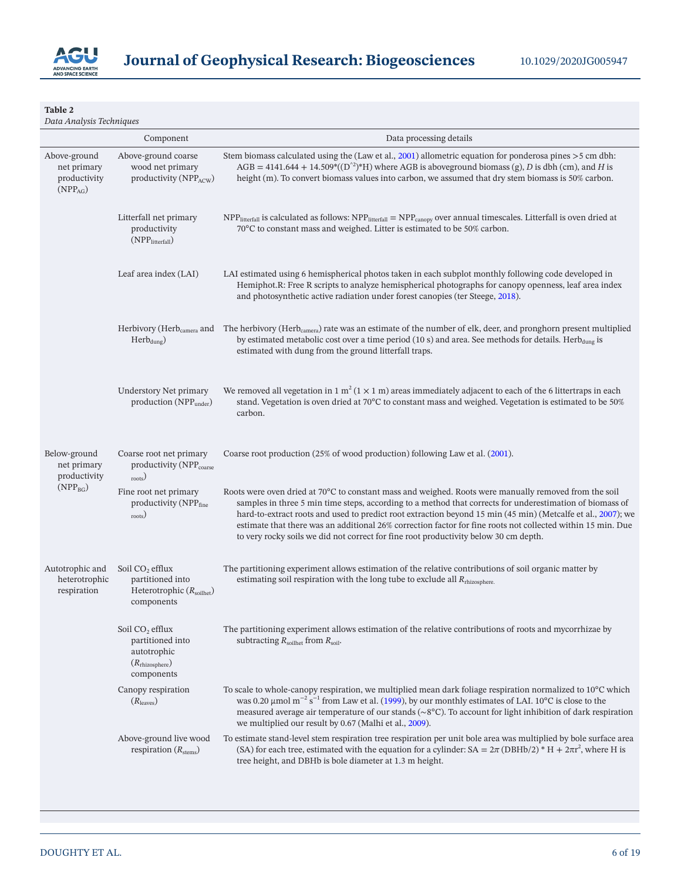

<span id="page-5-0"></span>*Data Analysis Techniques*

|                                                                     | Component                                                                                                  | Data processing details                                                                                                                                                                                                                                                                                                                                                                                                                                                                                                                  |
|---------------------------------------------------------------------|------------------------------------------------------------------------------------------------------------|------------------------------------------------------------------------------------------------------------------------------------------------------------------------------------------------------------------------------------------------------------------------------------------------------------------------------------------------------------------------------------------------------------------------------------------------------------------------------------------------------------------------------------------|
| Above-ground<br>net primary<br>productivity<br>(NPP <sub>AG</sub> ) | Above-ground coarse<br>wood net primary<br>productivity (NPP <sub>ACW</sub> )                              | Stem biomass calculated using the (Law et al., 2001) allometric equation for ponderosa pines >5 cm dbh:<br>AGB = 4141.644 + 14.509*( $(D^2)$ *H) where AGB is above ground biomass (g), D is dbh (cm), and H is<br>height (m). To convert biomass values into carbon, we assumed that dry stem biomass is 50% carbon.                                                                                                                                                                                                                    |
|                                                                     | Litterfall net primary<br>productivity<br>(NPP <sub>litterfall</sub> )                                     | $NPP$ <sub>litterfall</sub> is calculated as follows: $NPP$ <sub>litterfall</sub> = $NPP$ <sub>canopy</sub> over annual timescales. Litterfall is oven dried at<br>70°C to constant mass and weighed. Litter is estimated to be 50% carbon.                                                                                                                                                                                                                                                                                              |
|                                                                     | Leaf area index (LAI)                                                                                      | LAI estimated using 6 hemispherical photos taken in each subplot monthly following code developed in<br>Hemiphot.R: Free R scripts to analyze hemispherical photographs for canopy openness, leaf area index<br>and photosynthetic active radiation under forest canopies (ter Steege, 2018).                                                                                                                                                                                                                                            |
|                                                                     | Herbivory (Herb <sub>camera</sub> and<br>$Herb_{dung}$                                                     | The herbivory (Herb <sub>camera</sub> ) rate was an estimate of the number of elk, deer, and pronghorn present multiplied<br>by estimated metabolic cost over a time period (10 s) and area. See methods for details. Herb $_{\text{dung}}$ is<br>estimated with dung from the ground litterfall traps.                                                                                                                                                                                                                                  |
|                                                                     | Understory Net primary<br>production (NPP <sub>under</sub> )                                               | We removed all vegetation in 1 m <sup>2</sup> (1 $\times$ 1 m) areas immediately adjacent to each of the 6 littertraps in each<br>stand. Vegetation is oven dried at 70°C to constant mass and weighed. Vegetation is estimated to be 50%<br>carbon.                                                                                                                                                                                                                                                                                     |
| Below-ground<br>net primary<br>productivity                         | Coarse root net primary<br>productivity (NPP <sub>coarse</sub><br>$_{\rm roots})$                          | Coarse root production (25% of wood production) following Law et al. (2001).                                                                                                                                                                                                                                                                                                                                                                                                                                                             |
| $(NPP_{BG})$                                                        | Fine root net primary<br>productivity (NPPfine<br>roots)                                                   | Roots were oven dried at 70°C to constant mass and weighed. Roots were manually removed from the soil<br>samples in three 5 min time steps, according to a method that corrects for underestimation of biomass of<br>hard-to-extract roots and used to predict root extraction beyond 15 min (45 min) (Metcalfe et al., 2007); we<br>estimate that there was an additional 26% correction factor for fine roots not collected within 15 min. Due<br>to very rocky soils we did not correct for fine root productivity below 30 cm depth. |
| Autotrophic and<br>heterotrophic<br>respiration                     | Soil CO <sub>2</sub> efflux<br>partitioned into<br>Heterotrophic $(R_{\text{solid}})$<br>components        | The partitioning experiment allows estimation of the relative contributions of soil organic matter by<br>estimating soil respiration with the long tube to exclude all R <sub>rhizosphere.</sub>                                                                                                                                                                                                                                                                                                                                         |
|                                                                     | Soil CO <sub>2</sub> efflux<br>partitioned into<br>autotrophic<br>$(R_{\text{rhizosphere}})$<br>components | The partitioning experiment allows estimation of the relative contributions of roots and mycorrhizae by<br>subtracting $R_{\text{solid}}$ from $R_{\text{solid}}$ .                                                                                                                                                                                                                                                                                                                                                                      |
|                                                                     | Canopy respiration<br>$(R_{\text{leaves}})$                                                                | To scale to whole-canopy respiration, we multiplied mean dark foliage respiration normalized to 10°C which<br>was 0.20 $\mu$ mol m <sup>-2</sup> s <sup>-1</sup> from Law et al. (1999), by our monthly estimates of LAI. 10°C is close to the<br>measured average air temperature of our stands ( $\sim$ 8°C). To account for light inhibition of dark respiration<br>we multiplied our result by 0.67 (Malhi et al., 2009).                                                                                                            |
|                                                                     | Above-ground live wood<br>respiration $(R_{\text{stems}})$                                                 | To estimate stand-level stem respiration tree respiration per unit bole area was multiplied by bole surface area<br>(SA) for each tree, estimated with the equation for a cylinder: $SA = 2\pi (DBHb/2)^* H + 2\pi r^2$ , where H is<br>tree height, and DBHb is bole diameter at 1.3 m height.                                                                                                                                                                                                                                          |
|                                                                     |                                                                                                            |                                                                                                                                                                                                                                                                                                                                                                                                                                                                                                                                          |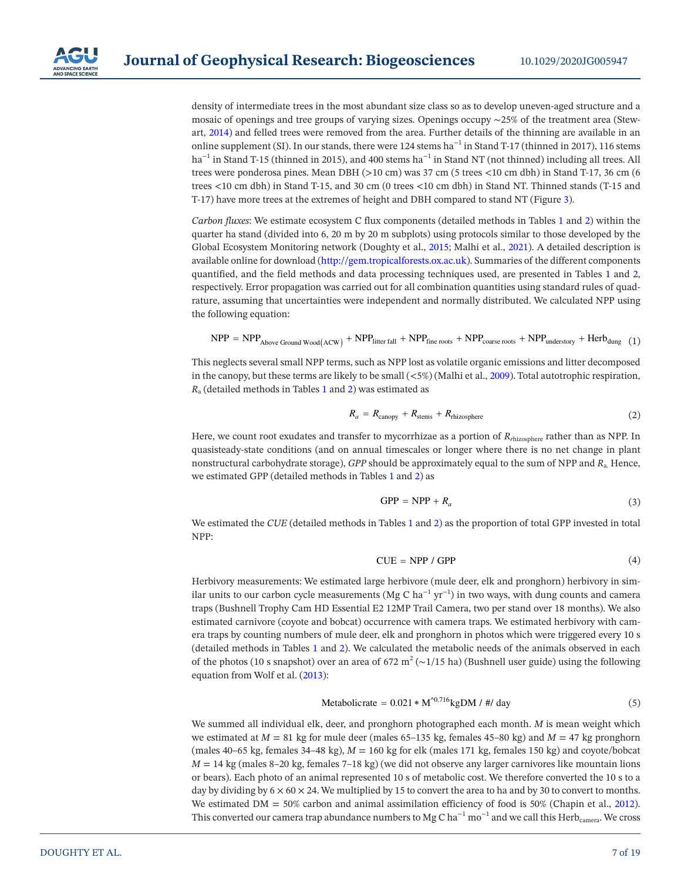

density of intermediate trees in the most abundant size class so as to develop uneven-aged structure and a mosaic of openings and tree groups of varying sizes. Openings occupy ∼25% of the treatment area (Stewart, [2014\)](#page-18-5) and felled trees were removed from the area. Further details of the thinning are available in an online supplement (SI). In our stands, there were 124 stems ha<sup>-1</sup> in Stand T-17 (thinned in 2017), 116 stems ha<sup>-1</sup> in Stand T-15 (thinned in 2015), and 400 stems ha<sup>-1</sup> in Stand NT (not thinned) including all trees. All trees were ponderosa pines. Mean DBH (>10 cm) was 37 cm (5 trees <10 cm dbh) in Stand T-17, 36 cm (6 trees <10 cm dbh) in Stand T-15, and 30 cm (0 trees <10 cm dbh) in Stand NT. Thinned stands (T-15 and T-17) have more trees at the extremes of height and DBH compared to stand NT (Figure [3\)](#page-10-0).

*Carbon fluxes*: We estimate ecosystem C flux components (detailed methods in Tables [1](#page-3-0) and [2\)](#page-5-0) within the quarter ha stand (divided into 6, 20 m by 20 m subplots) using protocols similar to those developed by the Global Ecosystem Monitoring network (Doughty et al., [2015;](#page-17-16) Malhi et al., [2021](#page-17-22)). A detailed description is available online for download ([http://gem.tropicalforests.ox.ac.uk\)](http://gem.tropicalforests.ox.ac.uk). Summaries of the different components quantified, and the field methods and data processing techniques used, are presented in Tables [1](#page-3-0) and [2,](#page-5-0) respectively. Error propagation was carried out for all combination quantities using standard rules of quadrature, assuming that uncertainties were independent and normally distributed. We calculated NPP using the following equation:

$$
NPP = NPP_{Above Ground Wood(ACW)} + NPP_{litter fall} + NPP_{fine\ roots} + NPP_{coarse\ roots} + NPP_{under story} + Herb_{dung} (1)
$$

This neglects several small NPP terms, such as NPP lost as volatile organic emissions and litter decomposed in the canopy, but these terms are likely to be small  $\langle$ <5%) (Malhi et al., [2009](#page-17-21)). Total autotrophic respiration, *R*a (detailed methods in Tables [1](#page-3-0) and [2](#page-5-0)) was estimated as

$$
R_a = R_{\text{canopy}} + R_{\text{stems}} + R_{\text{rhizosphere}} \tag{2}
$$

Here, we count root exudates and transfer to mycorrhizae as a portion of *Rr*hizosphere rather than as NPP. In quasisteady-state conditions (and on annual timescales or longer where there is no net change in plant nonstructural carbohydrate storage), *GPP* should be approximately equal to the sum of NPP and *R*a. Hence, we estimated GPP (detailed methods in Tables [1](#page-3-0) and [2\)](#page-5-0) as

$$
GPP = NPP + R_a \tag{3}
$$

We estimated the *CUE* (detailed methods in Tables [1](#page-3-0) and [2\)](#page-5-0) as the proportion of total GPP invested in total NPP:

$$
CUE = NPP / GPP
$$
 (4)

Herbivory measurements: We estimated large herbivore (mule deer, elk and pronghorn) herbivory in similar units to our carbon cycle measurements (Mg C ha<sup>-1</sup> yr<sup>-1</sup>) in two ways, with dung counts and camera traps (Bushnell Trophy Cam HD Essential E2 12MP Trail Camera, two per stand over 18 months). We also estimated carnivore (coyote and bobcat) occurrence with camera traps. We estimated herbivory with camera traps by counting numbers of mule deer, elk and pronghorn in photos which were triggered every 10 s (detailed methods in Tables [1](#page-3-0) and [2\)](#page-5-0). We calculated the metabolic needs of the animals observed in each of the photos (10 s snapshot) over an area of 672 m<sup>2</sup> (∼1/15 ha) (Bushnell user guide) using the following equation from Wolf et al. [\(2013](#page-18-14)):

$$
Metabolic rate = 0.021 * M0.716 kgDM / # / day
$$
 (5)

<span id="page-6-0"></span>We summed all individual elk, deer, and pronghorn photographed each month. *M* is mean weight which we estimated at  $M = 81$  kg for mule deer (males 65–135 kg, females 45–80 kg) and  $M = 47$  kg pronghorn (males  $40-65$  kg, females  $34-48$  kg),  $M = 160$  kg for elk (males 171 kg, females 150 kg) and coyote/bobcat  $M = 14$  kg (males 8–20 kg, females 7–18 kg) (we did not observe any larger carnivores like mountain lions or bears). Each photo of an animal represented 10 s of metabolic cost. We therefore converted the 10 s to a day by dividing by  $6 \times 60 \times 24$ . We multiplied by 15 to convert the area to ha and by 30 to convert to months. We estimated  $DM = 50\%$  carbon and animal assimilation efficiency of food is 50% (Chapin et al., [2012\)](#page-16-4). This converted our camera trap abundance numbers to Mg C ha<sup>-1</sup> mo<sup>-1</sup> and we call this Herb<sub>camera</sub>. We cross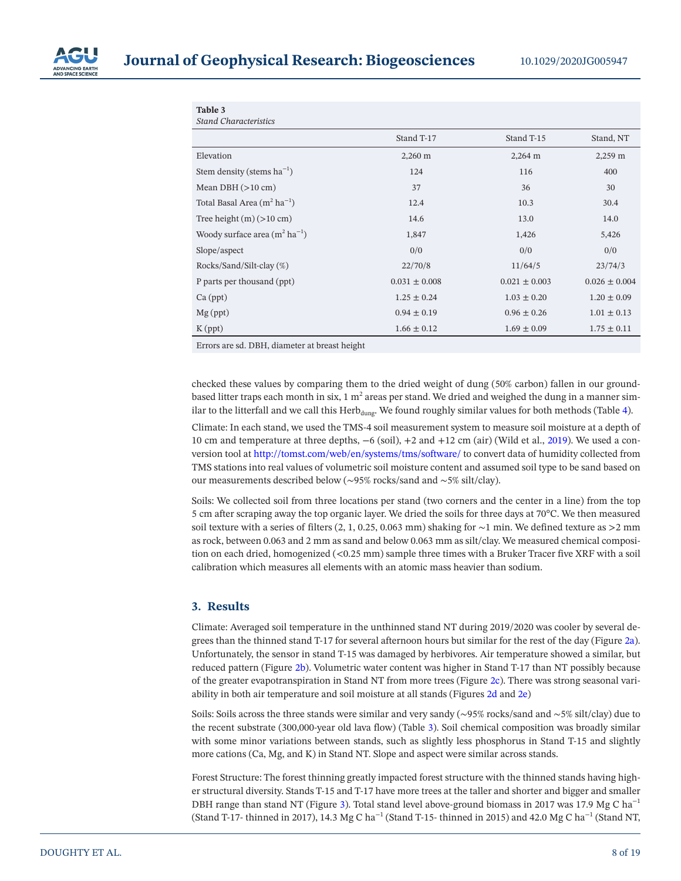

<span id="page-7-0"></span>

| Table 3<br><b>Stand Characteristics</b> |                   |                   |                   |
|-----------------------------------------|-------------------|-------------------|-------------------|
|                                         | Stand T-17        | Stand T-15        | Stand, NT         |
| Elevation                               | 2,260 m           | 2,264 m           | 2,259 m           |
| Stem density (stems $ha^{-1}$ )         | 124               | 116               | 400               |
| Mean DBH $(>10 \text{ cm})$             | 37                | 36                | 30                |
| Total Basal Area $(m^2 ha^{-1})$        | 12.4              | 10.3              | 30.4              |
| Tree height $(m)$ ( $>10$ cm)           | 14.6              | 13.0              | 14.0              |
| Woody surface area $(m^2 ha^{-1})$      | 1,847             | 1,426             | 5,426             |
| Slope/aspect                            | 0/0               | 0/0               | 0/0               |
| Rocks/Sand/Silt-clay (%)                | 22/70/8           | 11/64/5           | 23/74/3           |
| P parts per thousand (ppt)              | $0.031 \pm 0.008$ | $0.021 \pm 0.003$ | $0.026 \pm 0.004$ |
| $Ca$ (ppt)                              | $1.25 \pm 0.24$   | $1.03 \pm 0.20$   | $1.20 \pm 0.09$   |
| $Mg$ (ppt)                              | $0.94 \pm 0.19$   | $0.96 \pm 0.26$   | $1.01 \pm 0.13$   |
| $K$ (ppt)                               | $1.66 \pm 0.12$   | $1.69 \pm 0.09$   | $1.75 \pm 0.11$   |

Errors are sd. DBH, diameter at breast height

checked these values by comparing them to the dried weight of dung (50% carbon) fallen in our groundbased litter traps each month in six, 1  $\mathrm{m}^{2}$  areas per stand. We dried and weighed the dung in a manner similar to the litterfall and we call this  $Herb_{dune}$ . We found roughly similar values for both methods (Table [4](#page-8-0)).

Climate: In each stand, we used the TMS-4 soil measurement system to measure soil moisture at a depth of 10 cm and temperature at three depths, −6 (soil), +2 and +12 cm (air) (Wild et al., [2019](#page-18-15)). We used a conversion tool at<http://tomst.com/web/en/systems/tms/software/>to convert data of humidity collected from TMS stations into real values of volumetric soil moisture content and assumed soil type to be sand based on our measurements described below (∼95% rocks/sand and ∼5% silt/clay).

Soils: We collected soil from three locations per stand (two corners and the center in a line) from the top 5 cm after scraping away the top organic layer. We dried the soils for three days at 70°C. We then measured soil texture with a series of filters (2, 1, 0.25, 0.063 mm) shaking for ∼1 min. We defined texture as >2 mm as rock, between 0.063 and 2 mm as sand and below 0.063 mm as silt/clay. We measured chemical composition on each dried, homogenized (<0.25 mm) sample three times with a Bruker Tracer five XRF with a soil calibration which measures all elements with an atomic mass heavier than sodium.

## **3. Results**

Climate: Averaged soil temperature in the unthinned stand NT during 2019/2020 was cooler by several degrees than the thinned stand T-17 for several afternoon hours but similar for the rest of the day (Figure [2a\)](#page-9-0). Unfortunately, the sensor in stand T-15 was damaged by herbivores. Air temperature showed a similar, but reduced pattern (Figure [2b\)](#page-9-0). Volumetric water content was higher in Stand T-17 than NT possibly because of the greater evapotranspiration in Stand NT from more trees (Figure [2c\)](#page-9-0). There was strong seasonal variability in both air temperature and soil moisture at all stands (Figures [2d](#page-9-0) and [2e](#page-9-0))

Soils: Soils across the three stands were similar and very sandy (∼95% rocks/sand and ∼5% silt/clay) due to the recent substrate (300,000-year old lava flow) (Table [3\)](#page-7-0). Soil chemical composition was broadly similar with some minor variations between stands, such as slightly less phosphorus in Stand T-15 and slightly more cations (Ca, Mg, and K) in Stand NT. Slope and aspect were similar across stands.

Forest Structure: The forest thinning greatly impacted forest structure with the thinned stands having higher structural diversity. Stands T-15 and T-17 have more trees at the taller and shorter and bigger and smaller DBH range than stand NT (Figure [3](#page-10-0)). Total stand level above-ground biomass in 2017 was 17.9 Mg C ha<sup>−1</sup> (Stand T-17- thinned in 2017), 14.3 Mg C ha<sup>-1</sup> (Stand T-15- thinned in 2015) and 42.0 Mg C ha<sup>-1</sup> (Stand NT,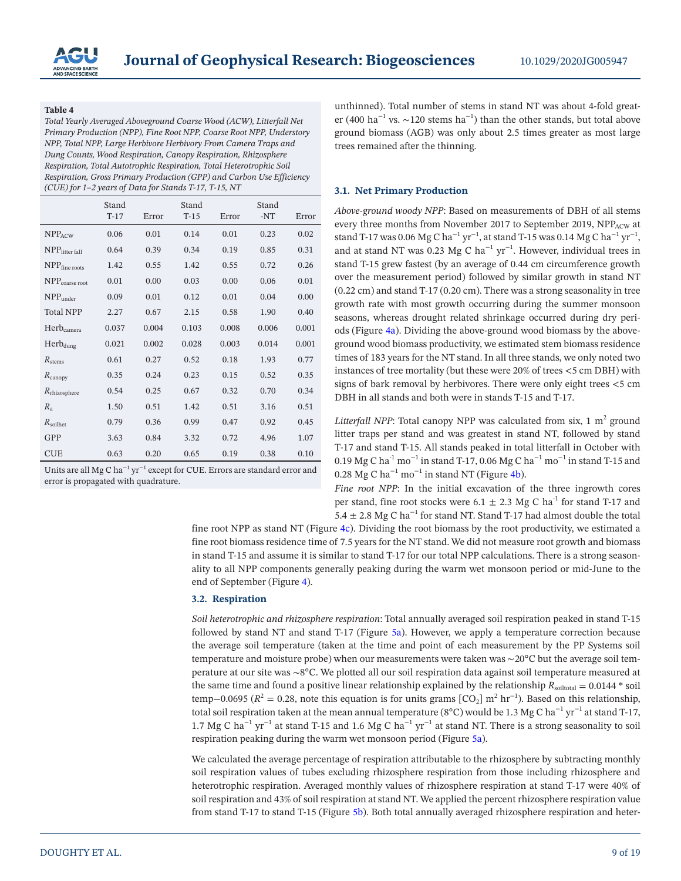

<span id="page-8-0"></span>*Total Yearly Averaged Aboveground Coarse Wood (ACW), Litterfall Net Primary Production (NPP), Fine Root NPP, Coarse Root NPP, Understory NPP, Total NPP, Large Herbivore Herbivory From Camera Traps and Dung Counts, Wood Respiration, Canopy Respiration, Rhizosphere Respiration, Total Autotrophic Respiration, Total Heterotrophic Soil Respiration, Gross Primary Production (GPP) and Carbon Use Efficiency (CUE) for 1–2 years of Data for Stands T-17, T-15, NT*

|                            | Stand  |       | Stand  |       | Stand |       |
|----------------------------|--------|-------|--------|-------|-------|-------|
|                            | $T-17$ | Error | $T-15$ | Error | $-NT$ | Error |
| $NPP_{ACW}$                | 0.06   | 0.01  | 0.14   | 0.01  | 0.23  | 0.02  |
| $NPP$ litter fall          | 0.64   | 0.39  | 0.34   | 0.19  | 0.85  | 0.31  |
| $NPP$ fine roots           | 1.42   | 0.55  | 1.42   | 0.55  | 0.72  | 0.26  |
| NPP <sub>coarse</sub> root | 0.01   | 0.00  | 0.03   | 0.00  | 0.06  | 0.01  |
| $NPP_{under}$              | 0.09   | 0.01  | 0.12   | 0.01  | 0.04  | 0.00  |
| <b>Total NPP</b>           | 2.27   | 0.67  | 2.15   | 0.58  | 1.90  | 0.40  |
| Herb <sub>camera</sub>     | 0.037  | 0.004 | 0.103  | 0.008 | 0.006 | 0.001 |
| Herbdung                   | 0.021  | 0.002 | 0.028  | 0.003 | 0.014 | 0.001 |
| $R_{\rm stems}$            | 0.61   | 0.27  | 0.52   | 0.18  | 1.93  | 0.77  |
| $R_{\text{canopy}}$        | 0.35   | 0.24  | 0.23   | 0.15  | 0.52  | 0.35  |
| $R_{\text{rhizosphere}}$   | 0.54   | 0.25  | 0.67   | 0.32  | 0.70  | 0.34  |
| $R_{\rm a}$                | 1.50   | 0.51  | 1.42   | 0.51  | 3.16  | 0.51  |
| $R_{\rm soilhet}$          | 0.79   | 0.36  | 0.99   | 0.47  | 0.92  | 0.45  |
| GPP                        | 3.63   | 0.84  | 3.32   | 0.72  | 4.96  | 1.07  |
| <b>CUE</b>                 | 0.63   | 0.20  | 0.65   | 0.19  | 0.38  | 0.10  |

Units are all Mg C ha−1 yr−1 except for CUE. Errors are standard error and error is propagated with quadrature.

unthinned). Total number of stems in stand NT was about 4-fold greater (400 ha<sup>-1</sup> vs. ~120 stems ha<sup>-1</sup>) than the other stands, but total above ground biomass (AGB) was only about 2.5 times greater as most large trees remained after the thinning.

#### **3.1. Net Primary Production**

*Above-ground woody NPP*: Based on measurements of DBH of all stems every three months from November 2017 to September 2019, NPPACW at stand T-17 was 0.06 Mg C ha<sup>-1</sup> yr<sup>-1</sup>, at stand T-15 was 0.14 Mg C ha<sup>-1</sup> yr<sup>-1</sup>, and at stand NT was 0.23 Mg C ha<sup>-1</sup> yr<sup>-1</sup>. However, individual trees in stand T-15 grew fastest (by an average of 0.44 cm circumference growth over the measurement period) followed by similar growth in stand NT (0.22 cm) and stand T-17 (0.20 cm). There was a strong seasonality in tree growth rate with most growth occurring during the summer monsoon seasons, whereas drought related shrinkage occurred during dry periods (Figure [4a\)](#page-10-1). Dividing the above-ground wood biomass by the aboveground wood biomass productivity, we estimated stem biomass residence times of 183 years for the NT stand. In all three stands, we only noted two instances of tree mortality (but these were 20% of trees <5 cm DBH) with signs of bark removal by herbivores. There were only eight trees <5 cm DBH in all stands and both were in stands T-15 and T-17.

Litterfall NPP: Total canopy NPP was calculated from six,  $1 \text{ m}^2$  ground litter traps per stand and was greatest in stand NT, followed by stand T-17 and stand T-15. All stands peaked in total litterfall in October with 0.19 Mg C ha<sup>-1</sup> mo<sup>-1</sup> in stand T-17, 0.06 Mg C ha<sup>-1</sup> mo<sup>-1</sup> in stand T-15 and 0.28 Mg C ha<sup>-1</sup> mo<sup>-1</sup> in stand NT (Figure [4b](#page-10-1)).

*Fine root NPP*: In the initial excavation of the three ingrowth cores per stand, fine root stocks were 6.1  $\pm$  2.3 Mg C ha<sup>-1</sup> for stand T-17 and 5.4  $\pm$  2.8 Mg C ha<sup>-1</sup> for stand NT. Stand T-17 had almost double the total

fine root NPP as stand NT (Figure [4c\)](#page-10-1). Dividing the root biomass by the root productivity, we estimated a fine root biomass residence time of 7.5 years for the NT stand. We did not measure root growth and biomass in stand T-15 and assume it is similar to stand T-17 for our total NPP calculations. There is a strong seasonality to all NPP components generally peaking during the warm wet monsoon period or mid-June to the end of September (Figure [4](#page-10-1)).

#### **3.2. Respiration**

*Soil heterotrophic and rhizosphere respiration*: Total annually averaged soil respiration peaked in stand T-15 followed by stand NT and stand T-17 (Figure [5a\)](#page-11-0). However, we apply a temperature correction because the average soil temperature (taken at the time and point of each measurement by the PP Systems soil temperature and moisture probe) when our measurements were taken was ∼20°C but the average soil temperature at our site was ∼8°C. We plotted all our soil respiration data against soil temperature measured at the same time and found a positive linear relationship explained by the relationship  $R_{\text{solid}} = 0.0144 * \text{ soil}$ temp–0.0695 ( $R^2$  = 0.28, note this equation is for units grams [CO<sub>2</sub>] m<sup>2</sup> hr<sup>-1</sup>). Based on this relationship, total soil respiration taken at the mean annual temperature (8°C) would be 1.3 Mg C ha<sup>-1</sup> yr<sup>-1</sup> at stand T-17, 1.7 Mg C ha<sup>-1</sup> yr<sup>-1</sup> at stand T-15 and 1.6 Mg C ha<sup>-1</sup> yr<sup>-1</sup> at stand NT. There is a strong seasonality to soil respiration peaking during the warm wet monsoon period (Figure [5a](#page-11-0)).

We calculated the average percentage of respiration attributable to the rhizosphere by subtracting monthly soil respiration values of tubes excluding rhizosphere respiration from those including rhizosphere and heterotrophic respiration. Averaged monthly values of rhizosphere respiration at stand T-17 were 40% of soil respiration and 43% of soil respiration at stand NT. We applied the percent rhizosphere respiration value from stand T-17 to stand T-15 (Figure [5b](#page-11-0)). Both total annually averaged rhizosphere respiration and heter-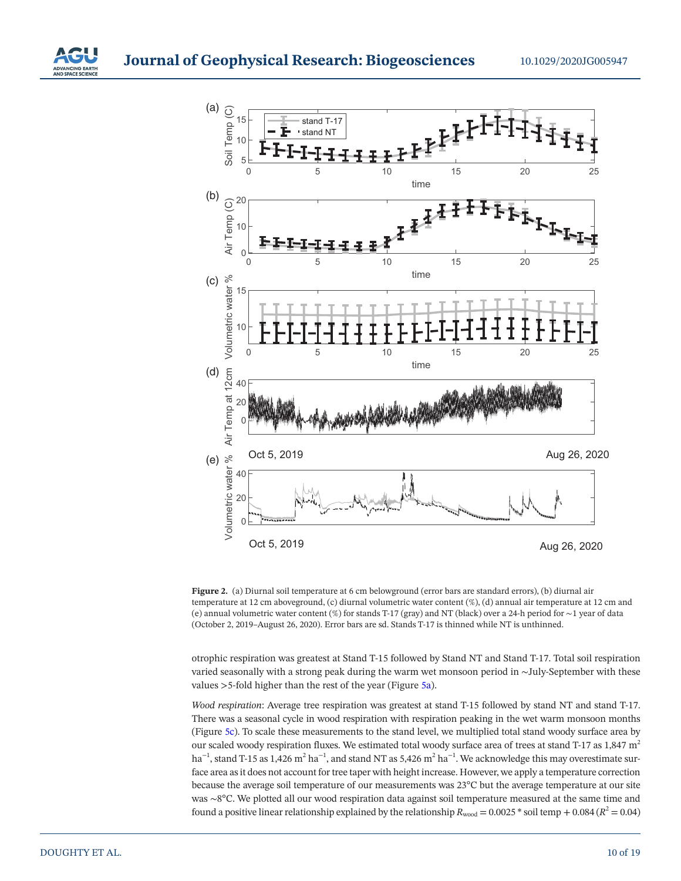



<span id="page-9-0"></span>**Figure 2.** (a) Diurnal soil temperature at 6 cm belowground (error bars are standard errors), (b) diurnal air temperature at 12 cm aboveground, (c) diurnal volumetric water content (%), (d) annual air temperature at 12 cm and (e) annual volumetric water content (%) for stands T-17 (gray) and NT (black) over a 24-h period for ∼1 year of data (October 2, 2019–August 26, 2020). Error bars are sd. Stands T-17 is thinned while NT is unthinned.

otrophic respiration was greatest at Stand T-15 followed by Stand NT and Stand T-17. Total soil respiration varied seasonally with a strong peak during the warm wet monsoon period in ∼July-September with these values >5-fold higher than the rest of the year (Figure [5a\)](#page-11-0).

*Wood respiration*: Average tree respiration was greatest at stand T-15 followed by stand NT and stand T-17. There was a seasonal cycle in wood respiration with respiration peaking in the wet warm monsoon months (Figure [5c\)](#page-11-0). To scale these measurements to the stand level, we multiplied total stand woody surface area by our scaled woody respiration fluxes. We estimated total woody surface area of trees at stand T-17 as 1,847 m<sup>2</sup> ha $^{-1}$ , stand T-15 as 1,426 m $^2$  ha $^{-1}$ , and stand NT as 5,426 m $^2$  ha $^{-1}$ . We acknowledge this may overestimate surface area as it does not account for tree taper with height increase. However, we apply a temperature correction because the average soil temperature of our measurements was 23°C but the average temperature at our site was ∼8°C. We plotted all our wood respiration data against soil temperature measured at the same time and found a positive linear relationship explained by the relationship  $R_{wood} = 0.0025 * soil temp + 0.084 (R^2 = 0.04)$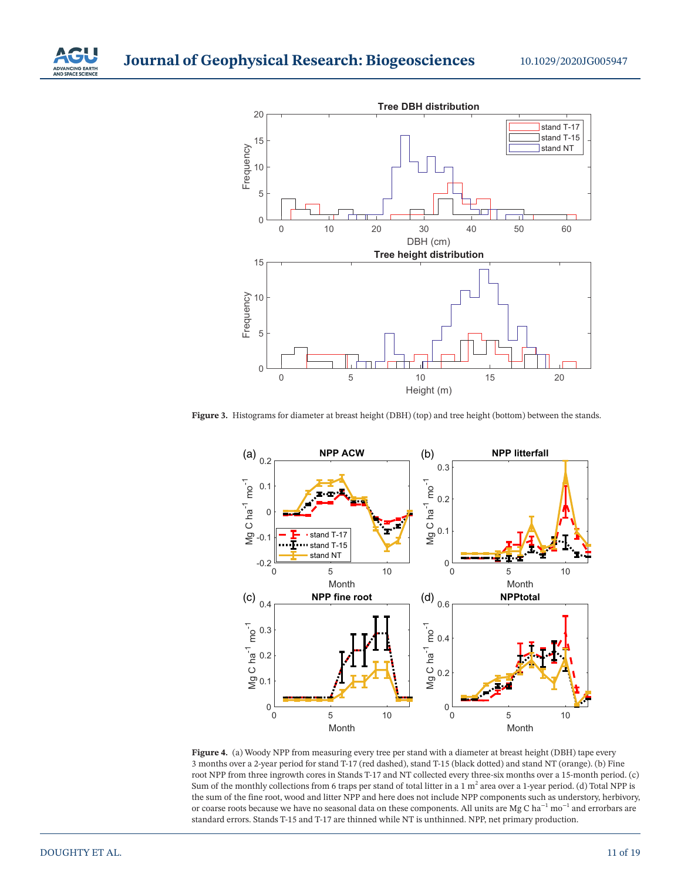



<span id="page-10-0"></span>Figure 3. Histograms for diameter at breast height (DBH) (top) and tree height (bottom) between the stands.



<span id="page-10-1"></span>**Figure 4.** (a) Woody NPP from measuring every tree per stand with a diameter at breast height (DBH) tape every 3 months over a 2-year period for stand T-17 (red dashed), stand T-15 (black dotted) and stand NT (orange). (b) Fine root NPP from three ingrowth cores in Stands T-17 and NT collected every three-six months over a 15-month period. (c) Sum of the monthly collections from 6 traps per stand of total litter in a 1  $m^2$  area over a 1-year period. (d) Total NPP is the sum of the fine root, wood and litter NPP and here does not include NPP components such as understory, herbivory, or coarse roots because we have no seasonal data on these components. All units are Mg C ha−1 mo−1 and errorbars are standard errors. Stands T-15 and T-17 are thinned while NT is unthinned. NPP, net primary production.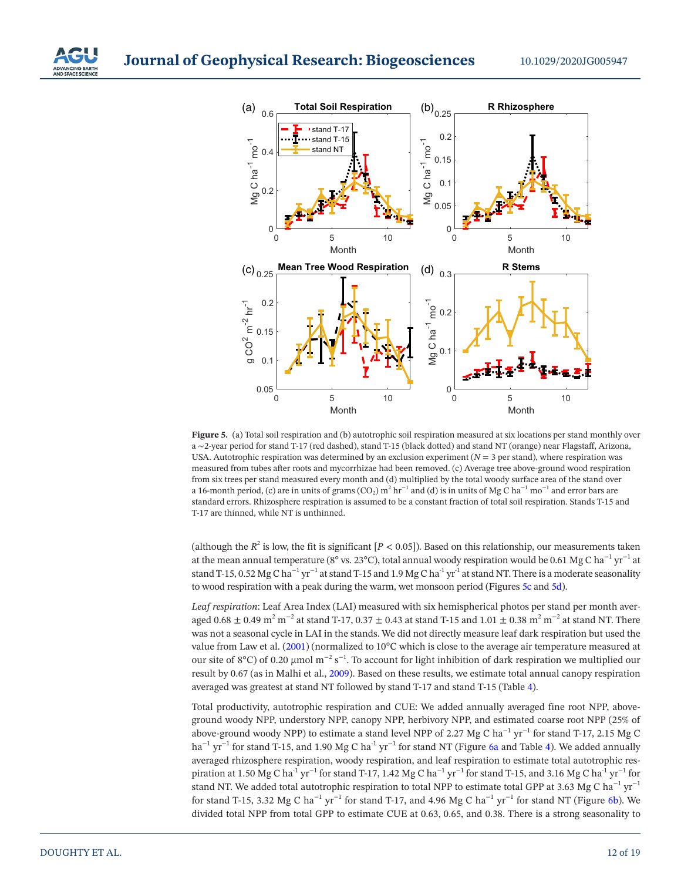**Journal of Geophysical Research: Biogeosciences**



<span id="page-11-0"></span>**Figure 5.** (a) Total soil respiration and (b) autotrophic soil respiration measured at six locations per stand monthly over a ∼2-year period for stand T-17 (red dashed), stand T-15 (black dotted) and stand NT (orange) near Flagstaff, Arizona, USA. Autotrophic respiration was determined by an exclusion experiment (*N* = 3 per stand), where respiration was measured from tubes after roots and mycorrhizae had been removed. (c) Average tree above-ground wood respiration from six trees per stand measured every month and (d) multiplied by the total woody surface area of the stand over a 16-month period, (c) are in units of grams (CO<sub>2</sub>) m<sup>2</sup> hr<sup>−1</sup> and (d) is in units of Mg C ha<sup>−1</sup> mo<sup>−1</sup> and error bars are standard errors. Rhizosphere respiration is assumed to be a constant fraction of total soil respiration. Stands T-15 and T-17 are thinned, while NT is unthinned.

(although the  $R^2$  is low, the fit is significant  $[P < 0.05]$ ). Based on this relationship, our measurements taken at the mean annual temperature (8° vs. 23°C), total annual woody respiration would be 0.61 Mg C ha<sup>-1</sup> yr<sup>-1</sup> at stand T-15, 0.52 Mg C ha<sup>-1</sup> yr<sup>-1</sup> at stand T-15 and 1.9 Mg C ha<sup>-1</sup> yr<sup>-1</sup> at stand NT. There is a moderate seasonality to wood respiration with a peak during the warm, wet monsoon period (Figures [5c](#page-11-0) and [5d](#page-11-0)).

*Leaf respiration*: Leaf Area Index (LAI) measured with six hemispherical photos per stand per month averaged 0.68  $\pm$  0.49 m<sup>2</sup> m<sup>-2</sup> at stand T-17, 0.37  $\pm$  0.43 at stand T-15 and 1.01  $\pm$  0.38 m<sup>2</sup> m<sup>-2</sup> at stand NT. There was not a seasonal cycle in LAI in the stands. We did not directly measure leaf dark respiration but used the value from Law et al. [\(2001](#page-17-19)) (normalized to 10°C which is close to the average air temperature measured at our site of 8°C) of 0.20 µmol  $m^{-2} s^{-1}$ . To account for light inhibition of dark respiration we multiplied our result by 0.67 (as in Malhi et al., [2009](#page-17-21)). Based on these results, we estimate total annual canopy respiration averaged was greatest at stand NT followed by stand T-17 and stand T-15 (Table [4\)](#page-8-0).

Total productivity, autotrophic respiration and CUE: We added annually averaged fine root NPP, aboveground woody NPP, understory NPP, canopy NPP, herbivory NPP, and estimated coarse root NPP (25% of above-ground woody NPP) to estimate a stand level NPP of 2.27 Mg C ha<sup>-1</sup> yr<sup>-1</sup> for stand T-17, 2.15 Mg C ha<sup>-1</sup> yr<sup>-1</sup> for stand T-15, and 1.90 Mg C ha<sup>-1</sup> yr<sup>-1</sup> for stand NT (Figure [6a](#page-13-0) and Table [4](#page-8-0)). We added annually averaged rhizosphere respiration, woody respiration, and leaf respiration to estimate total autotrophic respiration at 1.50 Mg C ha<sup>-1</sup> yr<sup>−1</sup> for stand T-17, 1.42 Mg C ha<sup>-1</sup> yr<sup>−1</sup> for stand T-15, and 3.16 Mg C ha<sup>-1</sup> yr<sup>−1</sup> for stand NT. We added total autotrophic respiration to total NPP to estimate total GPP at 3.63 Mg C ha<sup>-1</sup> yr<sup>-1</sup> for stand T-15, 3.32 Mg C ha<sup>-1</sup> yr<sup>-1</sup> for stand T-17, and 4.96 Mg C ha<sup>-1</sup> yr<sup>-1</sup> for stand NT (Figure [6b](#page-13-0)). We divided total NPP from total GPP to estimate CUE at 0.63, 0.65, and 0.38. There is a strong seasonality to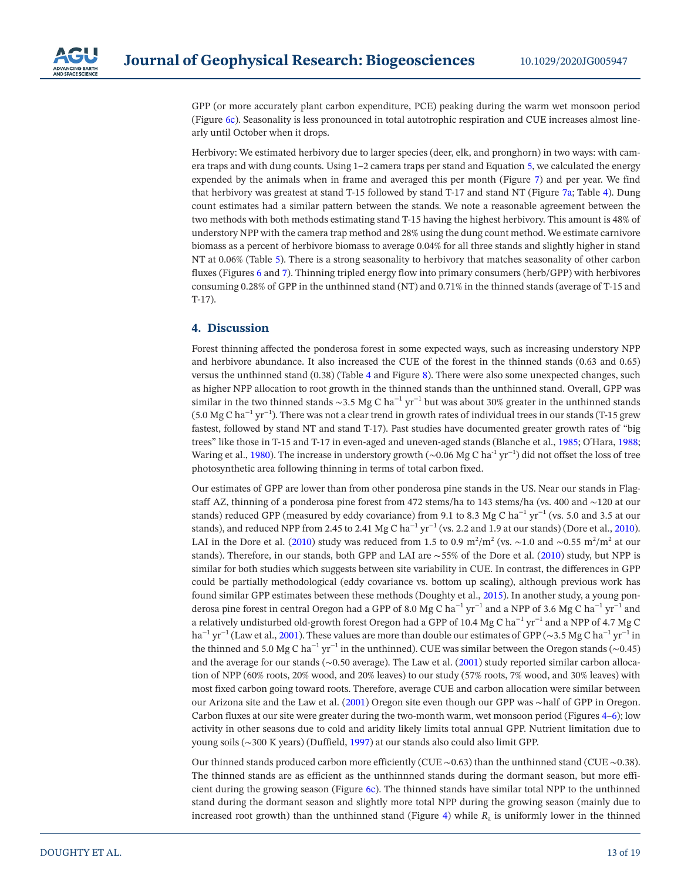GPP (or more accurately plant carbon expenditure, PCE) peaking during the warm wet monsoon period (Figure [6c](#page-13-0)). Seasonality is less pronounced in total autotrophic respiration and CUE increases almost linearly until October when it drops.

Herbivory: We estimated herbivory due to larger species (deer, elk, and pronghorn) in two ways: with camera traps and with dung counts. Using 1–2 camera traps per stand and Equation [5,](#page-6-0) we calculated the energy expended by the animals when in frame and averaged this per month (Figure [7](#page-14-0)) and per year. We find that herbivory was greatest at stand T-15 followed by stand T-17 and stand NT (Figure [7a](#page-14-0); Table [4\)](#page-8-0). Dung count estimates had a similar pattern between the stands. We note a reasonable agreement between the two methods with both methods estimating stand T-15 having the highest herbivory. This amount is 48% of understory NPP with the camera trap method and 28% using the dung count method. We estimate carnivore biomass as a percent of herbivore biomass to average 0.04% for all three stands and slightly higher in stand NT at 0.06% (Table [5](#page-14-1)). There is a strong seasonality to herbivory that matches seasonality of other carbon fluxes (Figures [6](#page-13-0) and [7](#page-14-0)). Thinning tripled energy flow into primary consumers (herb/GPP) with herbivores consuming 0.28% of GPP in the unthinned stand (NT) and 0.71% in the thinned stands (average of T-15 and T-17).

## **4. Discussion**

Forest thinning affected the ponderosa forest in some expected ways, such as increasing understory NPP and herbivore abundance. It also increased the CUE of the forest in the thinned stands (0.63 and 0.65) versus the unthinned stand (0.38) (Table [4](#page-8-0) and Figure [8\)](#page-15-0). There were also some unexpected changes, such as higher NPP allocation to root growth in the thinned stands than the unthinned stand. Overall, GPP was similar in the two thinned stands ∼3.5 Mg C ha<sup>-1</sup> yr<sup>-1</sup> but was about 30% greater in the unthinned stands (5.0 Mg C ha−1 yr−1). There was not a clear trend in growth rates of individual trees in our stands (T-15 grew fastest, followed by stand NT and stand T-17). Past studies have documented greater growth rates of "big trees" like those in T-15 and T-17 in even-aged and uneven-aged stands (Blanche et al., [1985;](#page-16-5) O'Hara, [1988;](#page-17-23) Waring et al., [1980\)](#page-18-16). The increase in understory growth (∼0.06 Mg C ha<sup>-1</sup> yr<sup>-1</sup>) did not offset the loss of tree photosynthetic area following thinning in terms of total carbon fixed.

Our estimates of GPP are lower than from other ponderosa pine stands in the US. Near our stands in Flagstaff AZ, thinning of a ponderosa pine forest from 472 stems/ha to 143 stems/ha (vs. 400 and ∼120 at our stands) reduced GPP (measured by eddy covariance) from 9.1 to 8.3 Mg C ha<sup>-1</sup> yr<sup>-1</sup> (vs. 5.0 and 3.5 at our stands), and reduced NPP from 2.45 to 2.41 Mg C ha<sup>-1</sup> yr<sup>-1</sup> (vs. 2.2 and 1.9 at our stands) (Dore et al., [2010\)](#page-17-12). LAI in the Dore et al. [\(2010](#page-17-12)) study was reduced from 1.5 to 0.9 m<sup>2</sup>/m<sup>2</sup> (vs. ~1.0 and ~0.55 m<sup>2</sup>/m<sup>2</sup> at our stands). Therefore, in our stands, both GPP and LAI are ∼55% of the Dore et al. [\(2010](#page-17-12)) study, but NPP is similar for both studies which suggests between site variability in CUE. In contrast, the differences in GPP could be partially methodological (eddy covariance vs. bottom up scaling), although previous work has found similar GPP estimates between these methods (Doughty et al., [2015](#page-17-16)). In another study, a young ponderosa pine forest in central Oregon had a GPP of 8.0 Mg C ha−1 yr−1 and a NPP of 3.6 Mg C ha−1 yr−1 and a relatively undisturbed old-growth forest Oregon had a GPP of 10.4 Mg C ha−1 yr−1 and a NPP of 4.7 Mg C ha<sup>-1</sup> yr<sup>-1</sup> (Law et al., [2001\)](#page-17-19). These values are more than double our estimates of GPP (∼3.5 Mg C ha<sup>-1</sup> yr<sup>-1</sup> in the thinned and 5.0 Mg C ha<sup>-1</sup> yr<sup>-1</sup> in the unthinned). CUE was similar between the Oregon stands (∼0.45) and the average for our stands (∼0.50 average). The Law et al. ([2001](#page-17-19)) study reported similar carbon allocation of NPP (60% roots, 20% wood, and 20% leaves) to our study (57% roots, 7% wood, and 30% leaves) with most fixed carbon going toward roots. Therefore, average CUE and carbon allocation were similar between our Arizona site and the Law et al. ([2001\)](#page-17-19) Oregon site even though our GPP was ∼half of GPP in Oregon. Carbon fluxes at our site were greater during the two-month warm, wet monsoon period (Figures [4](#page-10-1)[–6\)](#page-13-0); low activity in other seasons due to cold and aridity likely limits total annual GPP. Nutrient limitation due to young soils (∼300 K years) (Duffield, [1997\)](#page-17-18) at our stands also could also limit GPP.

Our thinned stands produced carbon more efficiently (CUE ∼0.63) than the unthinned stand (CUE ∼0.38). The thinned stands are as efficient as the unthinnned stands during the dormant season, but more efficient during the growing season (Figure [6c\)](#page-13-0). The thinned stands have similar total NPP to the unthinned stand during the dormant season and slightly more total NPP during the growing season (mainly due to increased root growth) than the unthinned stand (Figure [4\)](#page-10-1) while  $R_a$  is uniformly lower in the thinned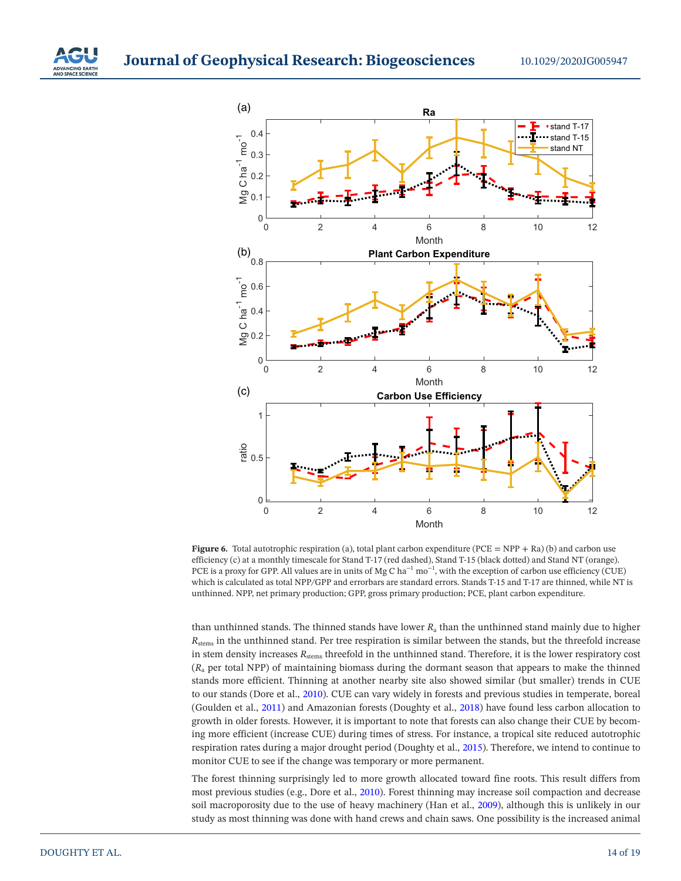

<span id="page-13-0"></span>**Figure 6.** Total autotrophic respiration (a), total plant carbon expenditure (PCE = NPP + Ra) (b) and carbon use efficiency (c) at a monthly timescale for Stand T-17 (red dashed), Stand T-15 (black dotted) and Stand NT (orange). PCE is a proxy for GPP. All values are in units of Mg C ha<sup> $-1$ </sup> mo<sup>-1</sup>, with the exception of carbon use efficiency (CUE) which is calculated as total NPP*/*GPP and errorbars are standard errors. Stands T-15 and T-17 are thinned, while NT is unthinned. NPP, net primary production; GPP, gross primary production; PCE, plant carbon expenditure.

than unthinned stands. The thinned stands have lower *R*a than the unthinned stand mainly due to higher *R*stems in the unthinned stand. Per tree respiration is similar between the stands, but the threefold increase in stem density increases *R*stems threefold in the unthinned stand. Therefore, it is the lower respiratory cost (*R*a per total NPP) of maintaining biomass during the dormant season that appears to make the thinned stands more efficient. Thinning at another nearby site also showed similar (but smaller) trends in CUE to our stands (Dore et al., [2010](#page-17-12)). CUE can vary widely in forests and previous studies in temperate, boreal (Goulden et al., [2011](#page-17-24)) and Amazonian forests (Doughty et al., [2018](#page-17-25)) have found less carbon allocation to growth in older forests. However, it is important to note that forests can also change their CUE by becoming more efficient (increase CUE) during times of stress. For instance, a tropical site reduced autotrophic respiration rates during a major drought period (Doughty et al., [2015\)](#page-17-16). Therefore, we intend to continue to monitor CUE to see if the change was temporary or more permanent.

The forest thinning surprisingly led to more growth allocated toward fine roots. This result differs from most previous studies (e.g., Dore et al., [2010](#page-17-12)). Forest thinning may increase soil compaction and decrease soil macroporosity due to the use of heavy machinery (Han et al., [2009](#page-17-26)), although this is unlikely in our study as most thinning was done with hand crews and chain saws. One possibility is the increased animal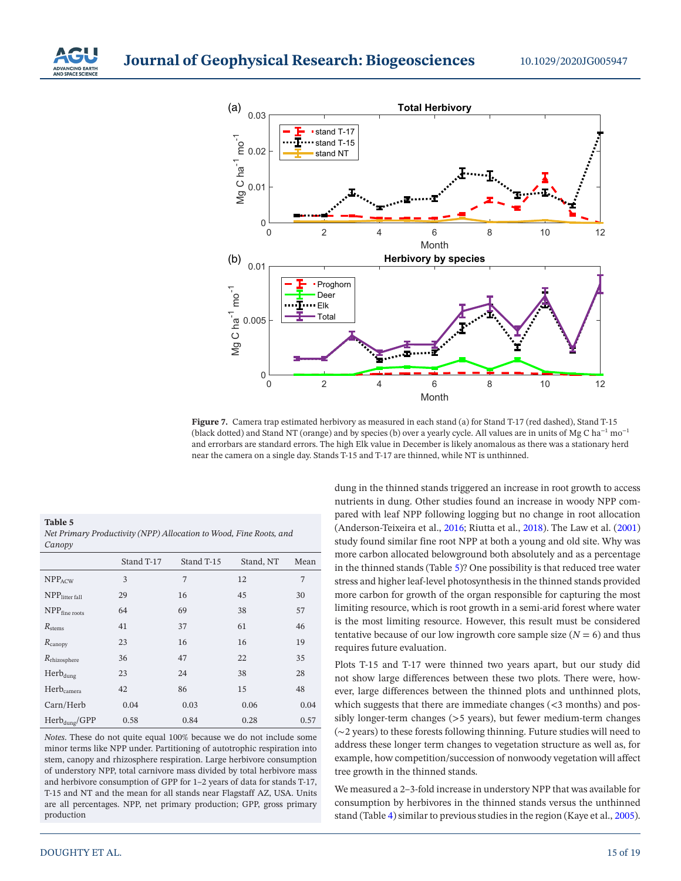

<span id="page-14-0"></span>**Figure 7.** Camera trap estimated herbivory as measured in each stand (a) for Stand T-17 (red dashed), Stand T-15 (black dotted) and Stand NT (orange) and by species (b) over a yearly cycle. All values are in units of Mg C ha<sup>-1</sup> mo<sup>-1</sup> and errorbars are standard errors. The high Elk value in December is likely anomalous as there was a stationary herd near the camera on a single day. Stands T-15 and T-17 are thinned, while NT is unthinned.

<span id="page-14-1"></span>**Table 5**  *Net Primary Productivity (NPP) Allocation to Wood, Fine Roots, and Canopy*

|                            | Stand T-17 | Stand T-15 | Stand, NT | Mean |
|----------------------------|------------|------------|-----------|------|
| $NPP_{ACW}$                | 3          | 7          | 12        | 7    |
| NPP <sub>litter fall</sub> | 29         | 16         | 45        | 30   |
| NPP <sub>fine</sub> roots  | 64         | 69         | 38        | 57   |
| $R_{\rm stems}$            | 41         | 37         | 61        | 46   |
| $R_{\text{canopy}}$        | 23         | 16         | 16        | 19   |
| $R_{\text{rhizosphere}}$   | 36         | 47         | 22        | 35   |
| $Herb_{dung}$              | 23         | 24         | 38        | 28   |
| Herb <sub>camera</sub>     | 42         | 86         | 15        | 48   |
| Carn/Herb                  | 0.04       | 0.03       | 0.06      | 0.04 |
| $Herb_{dung}/GPP$          | 0.58       | 0.84       | 0.28      | 0.57 |

*Notes*. These do not quite equal 100% because we do not include some minor terms like NPP under. Partitioning of autotrophic respiration into stem, canopy and rhizosphere respiration. Large herbivore consumption of understory NPP, total carnivore mass divided by total herbivore mass and herbivore consumption of GPP for 1–2 years of data for stands T-17, T-15 and NT and the mean for all stands near Flagstaff AZ, USA. Units are all percentages. NPP, net primary production; GPP, gross primary production

dung in the thinned stands triggered an increase in root growth to access nutrients in dung. Other studies found an increase in woody NPP compared with leaf NPP following logging but no change in root allocation (Anderson-Teixeira et al., [2016](#page-16-6); Riutta et al., [2018](#page-18-17)). The Law et al. [\(2001\)](#page-17-19) study found similar fine root NPP at both a young and old site. Why was more carbon allocated belowground both absolutely and as a percentage in the thinned stands (Table [5](#page-14-1))? One possibility is that reduced tree water stress and higher leaf-level photosynthesis in the thinned stands provided more carbon for growth of the organ responsible for capturing the most limiting resource, which is root growth in a semi-arid forest where water is the most limiting resource. However, this result must be considered tentative because of our low ingrowth core sample size  $(N = 6)$  and thus requires future evaluation.

Plots T-15 and T-17 were thinned two years apart, but our study did not show large differences between these two plots. There were, however, large differences between the thinned plots and unthinned plots, which suggests that there are immediate changes  $(<$ 3 months) and possibly longer-term changes (>5 years), but fewer medium-term changes (∼2 years) to these forests following thinning. Future studies will need to address these longer term changes to vegetation structure as well as, for example, how competition/succession of nonwoody vegetation will affect tree growth in the thinned stands.

We measured a 2–3-fold increase in understory NPP that was available for consumption by herbivores in the thinned stands versus the unthinned stand (Table [4](#page-8-0)) similar to previous studies in the region (Kaye et al., [2005\)](#page-17-27).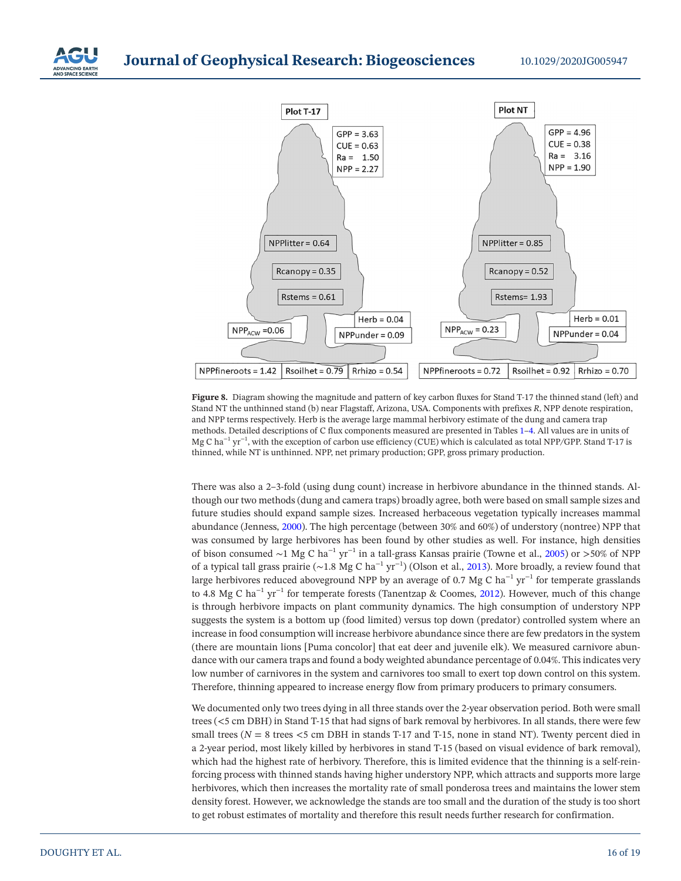



<span id="page-15-0"></span>**Figure 8.** Diagram showing the magnitude and pattern of key carbon fluxes for Stand T-17 the thinned stand (left) and Stand NT the unthinned stand (b) near Flagstaff, Arizona, USA. Components with prefixes *R*, NPP denote respiration, and NPP terms respectively. Herb is the average large mammal herbivory estimate of the dung and camera trap methods. Detailed descriptions of C flux components measured are presented in Tables [1–](#page-3-0)[4.](#page-8-0) All values are in units of Mg C ha−1 yr−1, with the exception of carbon use efficiency (CUE) which is calculated as total NPP*/*GPP. Stand T-17 is thinned, while NT is unthinned. NPP, net primary production; GPP, gross primary production.

There was also a 2–3-fold (using dung count) increase in herbivore abundance in the thinned stands. Although our two methods (dung and camera traps) broadly agree, both were based on small sample sizes and future studies should expand sample sizes. Increased herbaceous vegetation typically increases mammal abundance (Jenness, [2000](#page-17-28)). The high percentage (between 30% and 60%) of understory (nontree) NPP that was consumed by large herbivores has been found by other studies as well. For instance, high densities of bison consumed ∼1 Mg C ha−1 yr−1 in a tall-grass Kansas prairie (Towne et al., [2005\)](#page-18-18) or >50% of NPP of a typical tall grass prairie ( $\sim$ 1.8 Mg C ha<sup>-1</sup> yr<sup>-1</sup>) (Olson et al., [2013\)](#page-17-29). More broadly, a review found that large herbivores reduced aboveground NPP by an average of 0.7 Mg C ha<sup> $-1$ </sup> yr<sup> $-1$ </sup> for temperate grasslands to 4.8 Mg C ha−1 yr−1 for temperate forests (Tanentzap & Coomes, [2012](#page-18-19)). However, much of this change is through herbivore impacts on plant community dynamics. The high consumption of understory NPP suggests the system is a bottom up (food limited) versus top down (predator) controlled system where an increase in food consumption will increase herbivore abundance since there are few predators in the system (there are mountain lions [Puma concolor] that eat deer and juvenile elk). We measured carnivore abundance with our camera traps and found a body weighted abundance percentage of 0.04%. This indicates very low number of carnivores in the system and carnivores too small to exert top down control on this system. Therefore, thinning appeared to increase energy flow from primary producers to primary consumers.

We documented only two trees dying in all three stands over the 2-year observation period. Both were small trees (<5 cm DBH) in Stand T-15 that had signs of bark removal by herbivores. In all stands, there were few small trees ( $N = 8$  trees  $<$  5 cm DBH in stands T-17 and T-15, none in stand NT). Twenty percent died in a 2-year period, most likely killed by herbivores in stand T-15 (based on visual evidence of bark removal), which had the highest rate of herbivory. Therefore, this is limited evidence that the thinning is a self-reinforcing process with thinned stands having higher understory NPP, which attracts and supports more large herbivores, which then increases the mortality rate of small ponderosa trees and maintains the lower stem density forest. However, we acknowledge the stands are too small and the duration of the study is too short to get robust estimates of mortality and therefore this result needs further research for confirmation.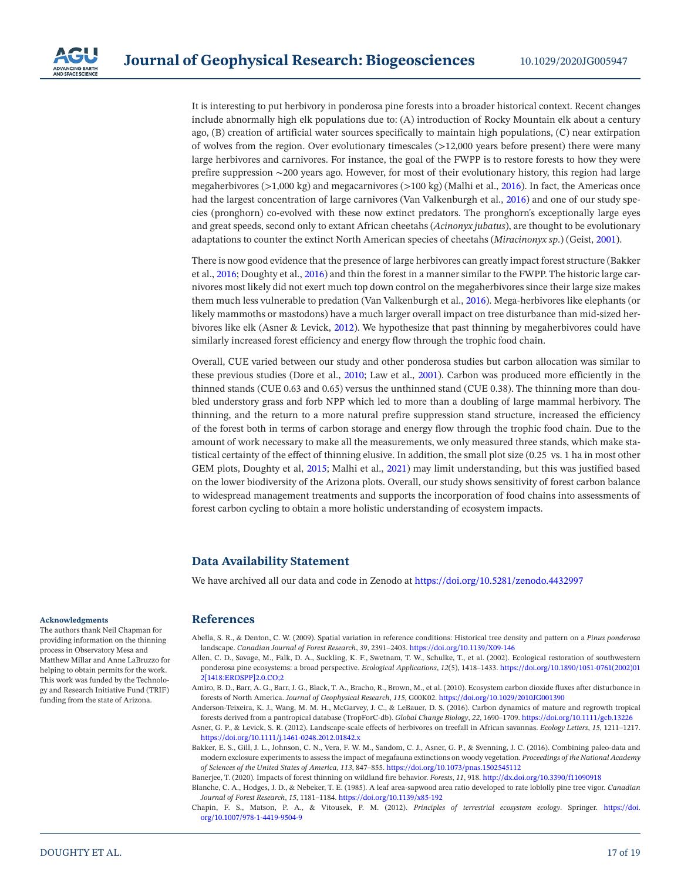

It is interesting to put herbivory in ponderosa pine forests into a broader historical context. Recent changes include abnormally high elk populations due to: (A) introduction of Rocky Mountain elk about a century ago, (B) creation of artificial water sources specifically to maintain high populations, (C) near extirpation of wolves from the region. Over evolutionary timescales (>12,000 years before present) there were many large herbivores and carnivores. For instance, the goal of the FWPP is to restore forests to how they were prefire suppression ∼200 years ago. However, for most of their evolutionary history, this region had large megaherbivores (>1,000 kg) and megacarnivores (>100 kg) (Malhi et al., [2016\)](#page-17-30). In fact, the Americas once had the largest concentration of large carnivores (Van Valkenburgh et al., [2016](#page-18-20)) and one of our study species (pronghorn) co-evolved with these now extinct predators. The pronghorn's exceptionally large eyes and great speeds, second only to extant African cheetahs (*Acinonyx jubatus*), are thought to be evolutionary adaptations to counter the extinct North American species of cheetahs (*Miracinonyx sp*.) (Geist, [2001](#page-17-31)).

There is now good evidence that the presence of large herbivores can greatly impact forest structure (Bakker et al., [2016;](#page-16-7) Doughty et al., [2016\)](#page-17-32) and thin the forest in a manner similar to the FWPP. The historic large carnivores most likely did not exert much top down control on the megaherbivores since their large size makes them much less vulnerable to predation (Van Valkenburgh et al., [2016\)](#page-18-20). Mega-herbivores like elephants (or likely mammoths or mastodons) have a much larger overall impact on tree disturbance than mid-sized herbivores like elk (Asner & Levick, [2012](#page-16-8)). We hypothesize that past thinning by megaherbivores could have similarly increased forest efficiency and energy flow through the trophic food chain.

Overall, CUE varied between our study and other ponderosa studies but carbon allocation was similar to these previous studies (Dore et al., [2010](#page-17-12); Law et al., [2001\)](#page-17-19). Carbon was produced more efficiently in the thinned stands (CUE 0.63 and 0.65) versus the unthinned stand (CUE 0.38). The thinning more than doubled understory grass and forb NPP which led to more than a doubling of large mammal herbivory. The thinning, and the return to a more natural prefire suppression stand structure, increased the efficiency of the forest both in terms of carbon storage and energy flow through the trophic food chain. Due to the amount of work necessary to make all the measurements, we only measured three stands, which make statistical certainty of the effect of thinning elusive. In addition, the small plot size (0.25 vs. 1 ha in most other GEM plots, Doughty et al, [2015;](#page-17-16) Malhi et al., [2021\)](#page-17-22) may limit understanding, but this was justified based on the lower biodiversity of the Arizona plots. Overall, our study shows sensitivity of forest carbon balance to widespread management treatments and supports the incorporation of food chains into assessments of forest carbon cycling to obtain a more holistic understanding of ecosystem impacts.

# **Data Availability Statement**

We have archived all our data and code in Zenodo at <https://doi.org/10.5281/zenodo.4432997>

### **References**

- <span id="page-16-2"></span>Abella, S. R., & Denton, C. W. (2009). Spatial variation in reference conditions: Historical tree density and pattern on a *Pinus ponderosa* landscape. *Canadian Journal of Forest Research*, *39*, 2391–2403.<https://doi.org/10.1139/X09-146>
- <span id="page-16-1"></span>Allen, C. D., Savage, M., Falk, D. A., Suckling, K. F., Swetnam, T. W., Schulke, T., et al. (2002). Ecological restoration of southwestern ponderosa pine ecosystems: a broad perspective. *Ecological Applications*, *12*(5), 1418–1433. [https://doi.org/10.1890/1051-0761\(2002\)01](https://doi.org/10.1890/1051-0761(2002)012%5B1418%3AEROSPP%5D2.0.CO;2) [2\[1418:EROSPP\]2.0.CO;2](https://doi.org/10.1890/1051-0761(2002)012%5B1418%3AEROSPP%5D2.0.CO;2)
- <span id="page-16-0"></span>Amiro, B. D., Barr, A. G., Barr, J. G., Black, T. A., Bracho, R., Brown, M., et al. (2010). Ecosystem carbon dioxide fluxes after disturbance in forests of North America. *Journal of Geophysical Research*, *115*, G00K02. <https://doi.org/10.1029/2010JG001390>
- <span id="page-16-6"></span>Anderson-Teixeira, K. J., Wang, M. M. H., McGarvey, J. C., & LeBauer, D. S. (2016). Carbon dynamics of mature and regrowth tropical forests derived from a pantropical database (TropForC-db). *Global Change Biology*, *22*, 1690–1709.<https://doi.org/10.1111/gcb.13226> Asner, G. P., & Levick, S. R. (2012). Landscape-scale effects of herbivores on treefall in African savannas. *Ecology Letters*, *15*, 1211–1217.
- <span id="page-16-8"></span><span id="page-16-7"></span><https://doi.org/10.1111/j.1461-0248.2012.01842.x> Bakker, E. S., Gill, J. L., Johnson, C. N., Vera, F. W. M., Sandom, C. J., Asner, G. P., & Svenning, J. C. (2016). Combining paleo-data and
- modern exclosure experiments to assess the impact of megafauna extinctions on woody vegetation. *Proceedings of the National Academy of Sciences of the United States of America*, *113*, 847–855. <https://doi.org/10.1073/pnas.1502545112>
- <span id="page-16-3"></span>Banerjee, T. (2020). Impacts of forest thinning on wildland fire behavior. *Forests*, *11*, 918.<http://dx.doi.org/10.3390/f11090918>
- <span id="page-16-5"></span>Blanche, C. A., Hodges, J. D., & Nebeker, T. E. (1985). A leaf area-sapwood area ratio developed to rate loblolly pine tree vigor. *Canadian Journal of Forest Research*, *15*, 1181–1184. <https://doi.org/10.1139/x85-192>
- <span id="page-16-4"></span>Chapin, F. S., Matson, P. A., & Vitousek, P. M. (2012). *Principles of terrestrial ecosystem ecology*. Springer. [https://doi.](https://doi.org/10.1007/978-1-4419-9504-9) [org/10.1007/978-1-4419-9504-9](https://doi.org/10.1007/978-1-4419-9504-9)

#### **Acknowledgments**

The authors thank Neil Chapman for providing information on the thinning process in Observatory Mesa and Matthew Millar and Anne LaBruzzo for helping to obtain permits for the work. This work was funded by the Technology and Research Initiative Fund (TRIF) funding from the state of Arizona.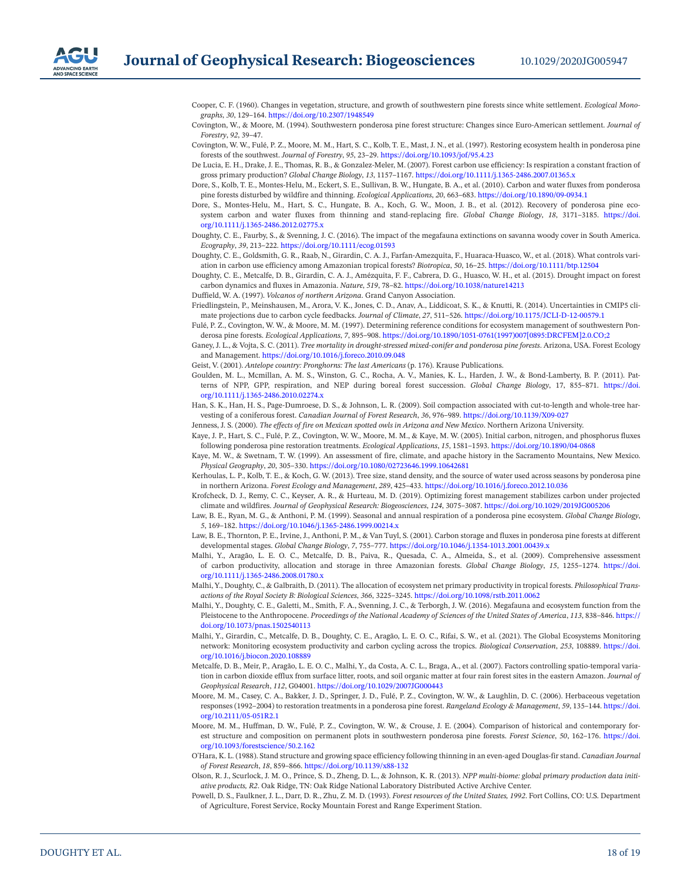

<span id="page-17-7"></span>Cooper, C. F. (1960). Changes in vegetation, structure, and growth of southwestern pine forests since white settlement. *Ecological Monographs*, *30*, 129–164.<https://doi.org/10.2307/1948549>

<span id="page-17-9"></span>Covington, W., & Moore, M. (1994). Southwestern ponderosa pine forest structure: Changes since Euro-American settlement. *Journal of Forestry*, *92*, 39–47.

- <span id="page-17-4"></span>Covington, W. W., Fulé, P. Z., Moore, M. M., Hart, S. C., Kolb, T. E., Mast, J. N., et al. (1997). Restoring ecosystem health in ponderosa pine forests of the southwest. *Journal of Forestry*, *95*, 23–29.<https://doi.org/10.1093/jof/95.4.23>
- <span id="page-17-2"></span>De Lucia, E. H., Drake, J. E., Thomas, R. B., & Gonzalez-Meler, M. (2007). Forest carbon use efficiency: Is respiration a constant fraction of gross primary production? *Global Change Biology*, *13*, 1157–1167. <https://doi.org/10.1111/j.1365-2486.2007.01365.x>
- <span id="page-17-12"></span>Dore, S., Kolb, T. E., Montes-Helu, M., Eckert, S. E., Sullivan, B. W., Hungate, B. A., et al. (2010). Carbon and water fluxes from ponderosa pine forests disturbed by wildfire and thinning. *Ecological Applications*, *20*, 663–683. <https://doi.org/10.1890/09-0934.1>
- <span id="page-17-10"></span>Dore, S., Montes-Helu, M., Hart, S. C., Hungate, B. A., Koch, G. W., Moon, J. B., et al. (2012). Recovery of ponderosa pine ecosystem carbon and water fluxes from thinning and stand-replacing fire. *Global Change Biology*, *18*, 3171–3185. [https://doi.](https://doi.org/10.1111/j.1365-2486.2012.02775.x) [org/10.1111/j.1365-2486.2012.02775.x](https://doi.org/10.1111/j.1365-2486.2012.02775.x)
- <span id="page-17-32"></span>Doughty, C. E., Faurby, S., & Svenning, J. C. (2016). The impact of the megafauna extinctions on savanna woody cover in South America. *Ecography*, *39*, 213–222.<https://doi.org/10.1111/ecog.01593>
- <span id="page-17-25"></span>Doughty, C. E., Goldsmith, G. R., Raab, N., Girardin, C. A. J., Farfan-Amezquita, F., Huaraca-Huasco, W., et al. (2018). What controls variation in carbon use efficiency among Amazonian tropical forests? *Biotropica*, *50*, 16–25.<https://doi.org/10.1111/btp.12504>
- <span id="page-17-16"></span>Doughty, C. E., Metcalfe, D. B., Girardin, C. A. J., Amézquita, F. F., Cabrera, D. G., Huasco, W. H., et al. (2015). Drought impact on forest carbon dynamics and fluxes in Amazonia. *Nature*, *519*, 78–82.<https://doi.org/10.1038/nature14213>

<span id="page-17-18"></span>Duffield, W. A. (1997). *Volcanos of northern Arizona*. Grand Canyon Association.

- <span id="page-17-1"></span>Friedlingstein, P., Meinshausen, M., Arora, V. K., Jones, C. D., Anav, A., Liddicoat, S. K., & Knutti, R. (2014). Uncertainties in CMIP5 climate projections due to carbon cycle feedbacks. *Journal of Climate*, *27*, 511–526. <https://doi.org/10.1175/JCLI-D-12-00579.1>
- <span id="page-17-5"></span>Fulé, P. Z., Covington, W. W., & Moore, M. M. (1997). Determining reference conditions for ecosystem management of southwestern Ponderosa pine forests. *Ecological Applications*, *7*, 895–908. [https://doi.org/10.1890/1051-0761\(1997\)007\[0895:DRCFEM\]2.0.CO;2](https://doi.org/10.1890/1051-0761(1997)007%5B0895%3ADRCFEM%5D2.0.CO;2)
- <span id="page-17-14"></span>Ganey, J. L., & Vojta, S. C. (2011). *Tree mortality in drought-stressed mixed-conifer and ponderosa pine forests*. Arizona, USA. Forest Ecology and Management. <https://doi.org/10.1016/j.foreco.2010.09.048>
- <span id="page-17-31"></span>Geist, V. (2001). *Antelope country: Pronghorns: The last Americans* (p. 176). Krause Publications.
- <span id="page-17-24"></span>Goulden, M. L., Mcmillan, A. M. S., Winston, G. C., Rocha, A. V., Manies, K. L., Harden, J. W., & Bond-Lamberty, B. P. (2011). Patterns of NPP, GPP, respiration, and NEP during boreal forest succession. *Global Change Biology*, 17, 855–871. [https://doi.](https://doi.org/10.1111/j.1365-2486.2010.02274.x) [org/10.1111/j.1365-2486.2010.02274.x](https://doi.org/10.1111/j.1365-2486.2010.02274.x)
- <span id="page-17-26"></span>Han, S. K., Han, H. S., Page-Dumroese, D. S., & Johnson, L. R. (2009). Soil compaction associated with cut-to-length and whole-tree harvesting of a coniferous forest. *Canadian Journal of Forest Research*, *36*, 976–989. <https://doi.org/10.1139/X09-027>
- <span id="page-17-28"></span>Jenness, J. S. (2000). *The effects of fire on Mexican spotted owls in Arizona and New Mexico*. Northern Arizona University.
- <span id="page-17-27"></span>Kaye, J. P., Hart, S. C., Fulé, P. Z., Covington, W. W., Moore, M. M., & Kaye, M. W. (2005). Initial carbon, nitrogen, and phosphorus fluxes following ponderosa pine restoration treatments. *Ecological Applications*, *15*, 1581–1593. <https://doi.org/10.1890/04-0868>
- <span id="page-17-6"></span>Kaye, M. W., & Swetnam, T. W. (1999). An assessment of fire, climate, and apache history in the Sacramento Mountains, New Mexico. *Physical Geography*, *20*, 305–330. <https://doi.org/10.1080/02723646.1999.10642681>
- <span id="page-17-13"></span>Kerhoulas, L. P., Kolb, T. E., & Koch, G. W. (2013). Tree size, stand density, and the source of water used across seasons by ponderosa pine in northern Arizona. *Forest Ecology and Management*, *289*, 425–433.<https://doi.org/10.1016/j.foreco.2012.10.036>
- <span id="page-17-11"></span>Krofcheck, D. J., Remy, C. C., Keyser, A. R., & Hurteau, M. D. (2019). Optimizing forest management stabilizes carbon under projected climate and wildfires. *Journal of Geophysical Research: Biogeosciences*, *124*, 3075–3087. <https://doi.org/10.1029/2019JG005206>
- <span id="page-17-17"></span>Law, B. E., Ryan, M. G., & Anthoni, P. M. (1999). Seasonal and annual respiration of a ponderosa pine ecosystem. *Global Change Biology*, *5*, 169–182. <https://doi.org/10.1046/j.1365-2486.1999.00214.x>
- <span id="page-17-19"></span>Law, B. E., Thornton, P. E., Irvine, J., Anthoni, P. M., & Van Tuyl, S. (2001). Carbon storage and fluxes in ponderosa pine forests at different developmental stages. *Global Change Biology*, *7*, 755–777.<https://doi.org/10.1046/j.1354-1013.2001.00439.x>
- <span id="page-17-21"></span>Malhi, Y., Aragão, L. E. O. C., Metcalfe, D. B., Paiva, R., Quesada, C. A., Almeida, S., et al. (2009). Comprehensive assessment of carbon productivity, allocation and storage in three Amazonian forests. *Global Change Biology*, *15*, 1255–1274. [https://doi.](https://doi.org/10.1111/j.1365-2486.2008.01780.x) [org/10.1111/j.1365-2486.2008.01780.x](https://doi.org/10.1111/j.1365-2486.2008.01780.x)
- <span id="page-17-3"></span>Malhi, Y., Doughty, C., & Galbraith, D. (2011). The allocation of ecosystem net primary productivity in tropical forests. *Philosophical Transactions of the Royal Society B: Biological Sciences*, *366*, 3225–3245. <https://doi.org/10.1098/rstb.2011.0062>
- <span id="page-17-30"></span>Malhi, Y., Doughty, C. E., Galetti, M., Smith, F. A., Svenning, J. C., & Terborgh, J. W. (2016). Megafauna and ecosystem function from the Pleistocene to the Anthropocene. *Proceedings of the National Academy of Sciences of the United States of America*, *113*, 838–846. [https://](https://doi.org/10.1073/pnas.1502540113) [doi.org/10.1073/pnas.1502540113](https://doi.org/10.1073/pnas.1502540113)
- <span id="page-17-22"></span>Malhi, Y., Girardin, C., Metcalfe, D. B., Doughty, C. E., Aragão, L. E. O. C., Rifai, S. W., et al. (2021). The Global Ecosystems Monitoring network: Monitoring ecosystem productivity and carbon cycling across the tropics. *Biological Conservation*, *253*, 108889. [https://doi.](https://doi.org/10.1016/j.biocon.2020.108889) [org/10.1016/j.biocon.2020.108889](https://doi.org/10.1016/j.biocon.2020.108889)
- <span id="page-17-20"></span>Metcalfe, D. B., Meir, P., Aragão, L. E. O. C., Malhi, Y., da Costa, A. C. L., Braga, A., et al. (2007). Factors controlling spatio-temporal variation in carbon dioxide efflux from surface litter, roots, and soil organic matter at four rain forest sites in the eastern Amazon. *Journal of Geophysical Research*, *112*, G04001.<https://doi.org/10.1029/2007JG000443>
- <span id="page-17-15"></span>Moore, M. M., Casey, C. A., Bakker, J. D., Springer, J. D., Fulé, P. Z., Covington, W. W., & Laughlin, D. C. (2006). Herbaceous vegetation responses (1992–2004) to restoration treatments in a ponderosa pine forest. *Rangeland Ecology & Management*, *59*, 135–144. [https://doi.](https://doi.org/10.2111/05-051R2.1) [org/10.2111/05-051R2.1](https://doi.org/10.2111/05-051R2.1)
- <span id="page-17-8"></span>Moore, M. M., Huffman, D. W., Fulé, P. Z., Covington, W. W., & Crouse, J. E. (2004). Comparison of historical and contemporary forest structure and composition on permanent plots in southwestern ponderosa pine forests. *Forest Science*, *50*, 162–176. [https://doi.](https://doi.org/10.1093/forestscience/50.2.162) [org/10.1093/forestscience/50.2.162](https://doi.org/10.1093/forestscience/50.2.162)
- <span id="page-17-23"></span>O'Hara, K. L. (1988). Stand structure and growing space efficiency following thinning in an even-aged Douglas-fir stand. *Canadian Journal of Forest Research*, *18*, 859–866. <https://doi.org/10.1139/x88-132>
- <span id="page-17-29"></span>Olson, R. J., Scurlock, J. M. O., Prince, S. D., Zheng, D. L., & Johnson, K. R. (2013). *NPP multi-biome: global primary production data initiative products, R2*. Oak Ridge, TN: Oak Ridge National Laboratory Distributed Active Archive Center.
- <span id="page-17-0"></span>Powell, D. S., Faulkner, J. L., Darr, D. R., Zhu, Z. M. D. (1993). *Forest resources of the United States, 1992*. Fort Collins, CO: U.S. Department of Agriculture, Forest Service, Rocky Mountain Forest and Range Experiment Station.